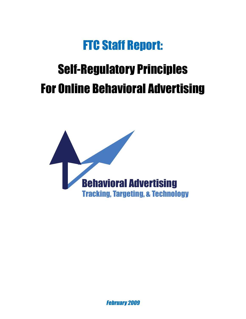

# Self-Regulatory Principles For Online Behavioral Advertising



February 2009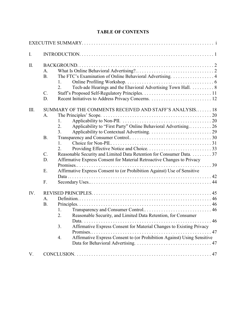# **TABLE OF CONTENTS**

| I.   |                                                                                                                                                                                                                                                                                                                                                                                                                                                   |
|------|---------------------------------------------------------------------------------------------------------------------------------------------------------------------------------------------------------------------------------------------------------------------------------------------------------------------------------------------------------------------------------------------------------------------------------------------------|
| Π.   | A.<br><b>B.</b><br>1.<br>Tech-ade Hearings and the Ehavioral Advertising Town Hall. 8<br>2.<br>$\mathcal{C}$ .<br>D.                                                                                                                                                                                                                                                                                                                              |
| III. | SUMMARY OF THE COMMENTS RECEIVED AND STAFF'S ANALYSIS 18<br>А.<br>1.<br>2.<br>Applicability to "First Party" Online Behavioral Advertising26<br>3 <sub>1</sub><br><b>B.</b><br>1.<br>2.<br>Reasonable Security and Limited Data Retention for Consumer Data. 37<br>$C$ .<br>Affirmative Express Consent for Material Retroactive Changes to Privacy<br>D.<br>Affirmative Express Consent to (or Prohibition Against) Use of Sensitive<br>Ε.<br>F. |
| IV.  | A.<br><b>B.</b><br>1.<br>Reasonable Security, and Limited Data Retention, for Consumer<br>2.<br>. 46<br>Affirmative Express Consent for Material Changes to Existing Privacy<br>3.<br>Promises<br>$\ldots$ 47<br>Affirmative Express Consent to (or Prohibition Against) Using Sensitive<br>4.                                                                                                                                                    |
| V.   |                                                                                                                                                                                                                                                                                                                                                                                                                                                   |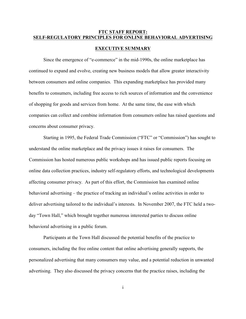# **FTC STAFF REPORT: SELF-REGULATORY PRINCIPLES FOR ONLINE BEHAVIORAL ADVERTISING**

# **EXECUTIVE SUMMARY**

Since the emergence of "e-commerce" in the mid-1990s, the online marketplace has continued to expand and evolve, creating new business models that allow greater interactivity between consumers and online companies. This expanding marketplace has provided many benefits to consumers, including free access to rich sources of information and the convenience of shopping for goods and services from home. At the same time, the ease with which companies can collect and combine information from consumers online has raised questions and concerns about consumer privacy.

Starting in 1995, the Federal Trade Commission ("FTC" or "Commission") has sought to understand the online marketplace and the privacy issues it raises for consumers. The Commission has hosted numerous public workshops and has issued public reports focusing on online data collection practices, industry self-regulatory efforts, and technological developments affecting consumer privacy. As part of this effort, the Commission has examined online behavioral advertising – the practice of tracking an individual's online activities in order to deliver advertising tailored to the individual's interests. In November 2007, the FTC held a twoday "Town Hall," which brought together numerous interested parties to discuss online behavioral advertising in a public forum.

Participants at the Town Hall discussed the potential benefits of the practice to consumers, including the free online content that online advertising generally supports, the personalized advertising that many consumers may value, and a potential reduction in unwanted advertising. They also discussed the privacy concerns that the practice raises, including the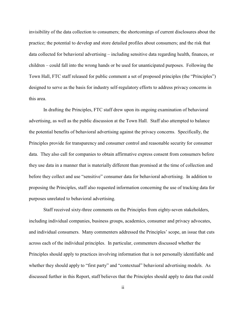invisibility of the data collection to consumers; the shortcomings of current disclosures about the practice; the potential to develop and store detailed profiles about consumers; and the risk that data collected for behavioral advertising – including sensitive data regarding health, finances, or children – could fall into the wrong hands or be used for unanticipated purposes. Following the Town Hall, FTC staff released for public comment a set of proposed principles (the "Principles") designed to serve as the basis for industry self-regulatory efforts to address privacy concerns in this area.

In drafting the Principles, FTC staff drew upon its ongoing examination of behavioral advertising, as well as the public discussion at the Town Hall. Staff also attempted to balance the potential benefits of behavioral advertising against the privacy concerns. Specifically, the Principles provide for transparency and consumer control and reasonable security for consumer data. They also call for companies to obtain affirmative express consent from consumers before they use data in a manner that is materially different than promised at the time of collection and before they collect and use "sensitive" consumer data for behavioral advertising. In addition to proposing the Principles, staff also requested information concerning the use of tracking data for purposes unrelated to behavioral advertising.

Staff received sixty-three comments on the Principles from eighty-seven stakeholders, including individual companies, business groups, academics, consumer and privacy advocates, and individual consumers. Many commenters addressed the Principles' scope, an issue that cuts across each of the individual principles. In particular, commenters discussed whether the Principles should apply to practices involving information that is not personally identifiable and whether they should apply to "first party" and "contextual" behavioral advertising models. As discussed further in this Report, staff believes that the Principles should apply to data that could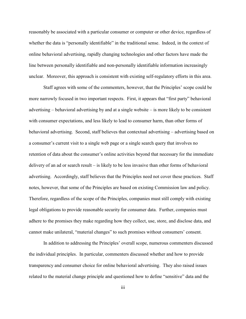reasonably be associated with a particular consumer or computer or other device, regardless of whether the data is "personally identifiable" in the traditional sense. Indeed, in the context of online behavioral advertising, rapidly changing technologies and other factors have made the line between personally identifiable and non-personally identifiable information increasingly unclear. Moreover, this approach is consistent with existing self-regulatory efforts in this area.

Staff agrees with some of the commenters, however, that the Principles' scope could be more narrowly focused in two important respects. First, it appears that "first party" behavioral advertising – behavioral advertising by and at a single website – is more likely to be consistent with consumer expectations, and less likely to lead to consumer harm, than other forms of behavioral advertising. Second, staff believes that contextual advertising – advertising based on a consumer's current visit to a single web page or a single search query that involves no retention of data about the consumer's online activities beyond that necessary for the immediate delivery of an ad or search result – is likely to be less invasive than other forms of behavioral advertising. Accordingly, staff believes that the Principles need not cover these practices. Staff notes, however, that some of the Principles are based on existing Commission law and policy. Therefore, regardless of the scope of the Principles, companies must still comply with existing legal obligations to provide reasonable security for consumer data. Further, companies must adhere to the promises they make regarding how they collect, use, store, and disclose data, and cannot make unilateral, "material changes" to such promises without consumers' consent.

In addition to addressing the Principles' overall scope, numerous commenters discussed the individual principles. In particular, commenters discussed whether and how to provide transparency and consumer choice for online behavioral advertising. They also raised issues related to the material change principle and questioned how to define "sensitive" data and the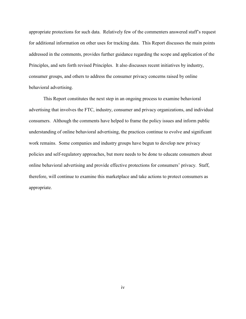appropriate protections for such data. Relatively few of the commenters answered staff's request for additional information on other uses for tracking data. This Report discusses the main points addressed in the comments, provides further guidance regarding the scope and application of the Principles, and sets forth revised Principles. It also discusses recent initiatives by industry, consumer groups, and others to address the consumer privacy concerns raised by online behavioral advertising.

This Report constitutes the next step in an ongoing process to examine behavioral advertising that involves the FTC, industry, consumer and privacy organizations, and individual consumers. Although the comments have helped to frame the policy issues and inform public understanding of online behavioral advertising, the practices continue to evolve and significant work remains. Some companies and industry groups have begun to develop new privacy policies and self-regulatory approaches, but more needs to be done to educate consumers about online behavioral advertising and provide effective protections for consumers' privacy. Staff, therefore, will continue to examine this marketplace and take actions to protect consumers as appropriate.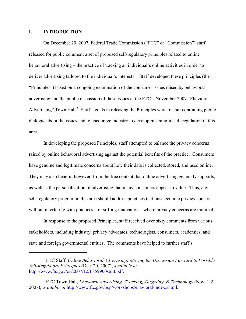# **I. INTRODUCTION**

On December 20, 2007, Federal Trade Commission ("FTC" or "Commission") staff released for public comment a set of proposed self-regulatory principles related to online behavioral advertising – the practice of tracking an individual's online activities in order to deliver advertising tailored to the individual's interests.<sup>1</sup> Staff developed these principles (the "Principles") based on an ongoing examination of the consumer issues raised by behavioral advertising and the public discussion of these issues at the FTC's November 2007 "Ehavioral Advertising" Town Hall.<sup>2</sup> Staff's goals in releasing the Principles were to spur continuing public dialogue about the issues and to encourage industry to develop meaningful self-regulation in this area.

In developing the proposed Principles, staff attempted to balance the privacy concerns raised by online behavioral advertising against the potential benefits of the practice. Consumers have genuine and legitimate concerns about how their data is collected, stored, and used online. They may also benefit, however, from the free content that online advertising generally supports, as well as the personalization of advertising that many consumers appear to value. Thus, any self-regulatory program in this area should address practices that raise genuine privacy concerns without interfering with practices – or stifling innovation – where privacy concerns are minimal.

In response to the proposed Principles, staff received over sixty comments from various stakeholders, including industry, privacy advocates, technologists, consumers, academics, and state and foreign governmental entities. The comments have helped to further staff's

<sup>&</sup>lt;sup>1</sup> FTC Staff, *Online Behavioral Advertising: Moving the Discussion Forward to Possible Self-Regulatory Principles* (Dec. 20, 2007), *available at* <http://www.ftc.gov/os/2007/12/P859900stmt.pdf>.

<sup>&</sup>lt;sup>2</sup> FTC Town Hall, *Ehavioral Advertising: Tracking, Targeting, & Technology* (Nov. 1-2, 2007), *available at* <http://www.ftc.gov/bcp/workshops/ehavioral/index.shtml>.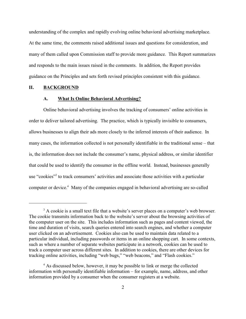understanding of the complex and rapidly evolving online behavioral advertising marketplace. At the same time, the comments raised additional issues and questions for consideration, and many of them called upon Commission staff to provide more guidance. This Report summarizes and responds to the main issues raised in the comments. In addition, the Report provides guidance on the Principles and sets forth revised principles consistent with this guidance.

# **II. BACKGROUND**

# **A. What Is Online Behavioral Advertising?**

Online behavioral advertising involves the tracking of consumers' online activities in order to deliver tailored advertising. The practice, which is typically invisible to consumers, allows businesses to align their ads more closely to the inferred interests of their audience. In many cases, the information collected is not personally identifiable in the traditional sense – that is, the information does not include the consumer's name, physical address, or similar identifier that could be used to identify the consumer in the offline world. Instead, businesses generally use "cookies"<sup>3</sup> to track consumers' activities and associate those activities with a particular computer or device.<sup>4</sup> Many of the companies engaged in behavioral advertising are so-called

 $3$  A cookie is a small text file that a website's server places on a computer's web browser. The cookie transmits information back to the website's server about the browsing activities of the computer user on the site. This includes information such as pages and content viewed, the time and duration of visits, search queries entered into search engines, and whether a computer user clicked on an advertisement. Cookies also can be used to maintain data related to a particular individual, including passwords or items in an online shopping cart. In some contexts, such as where a number of separate websites participate in a network, cookies can be used to track a computer user across different sites. In addition to cookies, there are other devices for tracking online activities, including "web bugs," "web beacons," and "Flash cookies."

<sup>&</sup>lt;sup>4</sup> As discussed below, however, it may be possible to link or merge the collected information with personally identifiable information – for example, name, address, and other information provided by a consumer when the consumer registers at a website.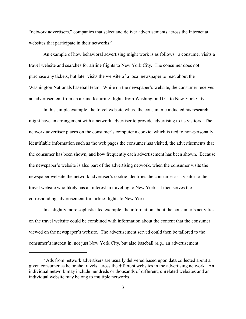"network advertisers," companies that select and deliver advertisements across the Internet at websites that participate in their networks.<sup>5</sup>

An example of how behavioral advertising might work is as follows: a consumer visits a travel website and searches for airline flights to New York City. The consumer does not purchase any tickets, but later visits the website of a local newspaper to read about the Washington Nationals baseball team. While on the newspaper's website, the consumer receives an advertisement from an airline featuring flights from Washington D.C. to New York City.

In this simple example, the travel website where the consumer conducted his research might have an arrangement with a network advertiser to provide advertising to its visitors. The network advertiser places on the consumer's computer a cookie, which is tied to non-personally identifiable information such as the web pages the consumer has visited, the advertisements that the consumer has been shown, and how frequently each advertisement has been shown. Because the newspaper's website is also part of the advertising network, when the consumer visits the newspaper website the network advertiser's cookie identifies the consumer as a visitor to the travel website who likely has an interest in traveling to New York. It then serves the corresponding advertisement for airline flights to New York.

In a slightly more sophisticated example, the information about the consumer's activities on the travel website could be combined with information about the content that the consumer viewed on the newspaper's website. The advertisement served could then be tailored to the consumer's interest in, not just New York City, but also baseball (*e.g.*, an advertisement

<sup>&</sup>lt;sup>5</sup> Ads from network advertisers are usually delivered based upon data collected about a given consumer as he or she travels across the different websites in the advertising network. An individual network may include hundreds or thousands of different, unrelated websites and an individual website may belong to multiple networks.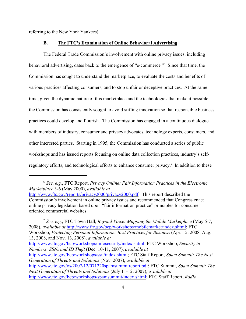referring to the New York Yankees).

#### **B. The FTC's Examination of Online Behavioral Advertising**

The Federal Trade Commission's involvement with online privacy issues, including behavioral advertising, dates back to the emergence of "e-commerce." Since that time, the Commission has sought to understand the marketplace, to evaluate the costs and benefits of various practices affecting consumers, and to stop unfair or deceptive practices. At the same time, given the dynamic nature of this marketplace and the technologies that make it possible, the Commission has consistently sought to avoid stifling innovation so that responsible business practices could develop and flourish. The Commission has engaged in a continuous dialogue with members of industry, consumer and privacy advocates, technology experts, consumers, and other interested parties. Starting in 1995, the Commission has conducted a series of public workshops and has issued reports focusing on online data collection practices, industry's selfregulatory efforts, and technological efforts to enhance consumer privacy.<sup>7</sup> In addition to these

<sup>7</sup> See, e.g., FTC Town Hall, *Beyond Voice: Mapping the Mobile Marketplace* (May 6-7, 2008), *available at* <http://www.ftc.gov/bcp/workshops/mobilemarket/index.shtml>; FTC Workshop, *Protecting Personal Information: Best Practices for Business* (Apr. 15, 2008, Aug. 13, 2008, and Nov. 13, 2008), *available at* <http://www.ftc.gov/bcp/workshops/infosecurity/index.shtml>; FTC Workshop, *Security in Numbers: SSNs and ID Theft* (Dec. 10-11, 2007), *available at* <http://www.ftc.gov/bcp/workshops/ssn/index.shtml>; FTC Staff Report, *Spam Summit: The Next Generation of Threats and Solutions* (Nov. 2007), *available at* <http://www.ftc.gov/os/2007/12/071220spamsummitreport.pdf>; FTC Summit, *Spam Summit: The Next Generation of Threats and Solutions* (July 11-12, 2007), *available at* <http://www.ftc.gov/bcp/workshops/spamsummit/index.shtml>; FTC Staff Report, *Radio*

*See, e.g.*, FTC Report, *Privacy Online: Fair Information Practices in the Electronic* <sup>6</sup> *Marketplace* 3-6 (May 2000), *available at* [http://www.ftc.gov/reports/privacy2000/privacy2000.pdf](http://www.ftc.gov/reports/privacy2000/privacy2000.pdf;). This report described the Commission's involvement in online privacy issues and recommended that Congress enact online privacy legislation based upon "fair information practice" principles for consumeroriented commercial websites.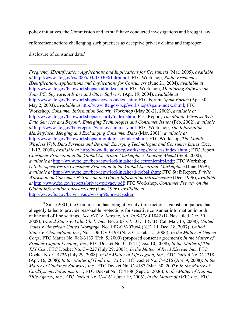policy initiatives, the Commission and its staff have conducted investigations and brought law enforcement actions challenging such practices as deceptive privacy claims and improper disclosure of consumer data.<sup>8</sup>

*Frequency IDentification: Applications and Implications for Consumers (Mar. 2005), available at* [http://www.ftc.gov/os/2005/03/050308rfidrpt.pdf](http://www.ftc.gov/os/2005/03/050308rfidrpt.pdf;); FTC Workshop, *Radio Frequency IDentification: Applications and Implications for Consumers* (June 21, 2004), *available at* <http://www.ftc.gov/bcp/workshops/rfid/index.shtm>; FTC Workshop, *Monitoring Software on Your PC: Spyware, Adware and Other Software* (Apr. 19, 2004), *available at* <http://www.ftc.gov/bcp/workshops/spyware/index.shtm>; FTC Forum, *Spam Forum* (Apr. 30- May 2, 2003), *available at* <http://www.ftc.gov/bcp/workshops/spam/index.shtml>; FTC Workshop, *Consumer Information Security Workshop* (May 20-21, 2002), *available at* <http://www.ftc.gov/bcp/workshops/security/index.shtm>; FTC Report, *The Mobile Wireless Web, Data Services and Beyond: Emerging Technologies and Consumer Issues* (Feb. 2002), *available at* [http://www.ftc.gov/bcp/reports/wirelesssummary.pdf](http://www.ftc.gov/bcp/reports/wirelesssummary.pdf;); FTC Workshop, *The Information Marketplace: Merging and Exchanging Consumer Data* (Mar. 2001), *available at* <http://www.ftc.gov/bcp/workshops/infomktplace/index.shtml>; FTC Workshop, *The Mobile Wireless Web, Data Services and Beyond: Emerging Technologies and Consumer Issues (Dec.* 11-12, 2000), *available at* <http://www.ftc.gov/bcp/workshops/wireless/index.shtml>; FTC Report, *Consumer Protection in the Global Electronic Marketplace: Looking Ahead* (Sept. 2000), *available at* [http://www.ftc.gov/bcp/icpw/lookingahead/electronicmkpl.pdf](http://www.ftc.gov/bcp/icpw/lookingahead/electronicmkpl.pdf;); FTC Workshop, *U.S. Perspectives on Consumer Protection in the Global Electronic Marketplace (June 1999), available at* <http://www.ftc.gov/bcp/icpw/lookingahead/global.shtm>; FTC Staff Report*, Public Workshop on Consumer Privacy on the Global Information Infrastructure* (Dec. 1996), *available at* [http://www.ftc.gov/reports/privacy/privacy.pdf](http://www.ftc.gov/reports/privacy/privacy.pdf;); FTC Workshop, *Consumer Privacy on the Global Information Infrastructure* (June 1996), *available at* <http://www.ftc.gov/bcp/privacy/wkshp96/privacy.shtm>.

<sup>8</sup> Since 2001, the Commission has brought twenty-three actions against companies that allegedly failed to provide reasonable protections for sensitive consumer information in both online and offline settings. *See FTC v. Navone*, No. 2:08-CV-01842 (D. Nev. filed Dec. 30, 2008); *United States v. ValueClick, Inc.*, No. 2:08-CV-01711 (C.D. Cal. Mar. 13, 2008); *United States v. American United Mortgage*, No. 1:07-CV-07064 (N.D. Ill. Dec. 18, 2007); *United States v. ChoicePoint, Inc.*, No. 1:06-CV-0198 (N.D. Ga. Feb. 15, 2006); *In the Matter of Genica Corp.*, FTC Matter No. 082-3133 (Feb. 5, 2009) (proposed consent agreement); *In the Matter of Premier Capital Lending, Inc.*, FTC Docket No. C-4241 (Dec. 10, 2008); *In the Matter of The TJX Cos.*, FTC Docket No. C-4227 (July 29, 2008); *In the Matter of Reed Elsevier Inc.*, FTC Docket No. C-4226 (July 29, 2008); *In the Matter of Life is good, Inc.*, FTC Docket No. C-4218 (Apr. 16, 2008); *In the Matter of Goal Fin., LLC*, FTC Docket No. C-4216 (Apr. 9, 2008); *In the Matter of Guidance Software, Inc.*, FTC Docket No. C-4187 (Mar. 30, 2007); *In the Matter of CardSystems Solutions, Inc.*, FTC Docket No. C-4168 (Sept. 5, 2006); *In the Matter of Nations Title Agency, Inc.*, FTC Docket No. C-4161 (June 19, 2006); *In the Matter of DSW, Inc*., FTC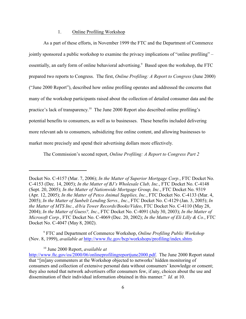#### 1. Online Profiling Workshop

As a part of these efforts, in November 1999 the FTC and the Department of Commerce jointly sponsored a public workshop to examine the privacy implications of "online profiling" – essentially, an early form of online behavioral advertising.<sup>9</sup> Based upon the workshop, the FTC prepared two reports to Congress. The first, *Online Profiling: A Report to Congress* (June 2000) ("June 2000 Report"), described how online profiling operates and addressed the concerns that many of the workshop participants raised about the collection of detailed consumer data and the practice's lack of transparency.<sup>10</sup> The June 2000 Report also described online profiling's potential benefits to consumers, as well as to businesses. These benefits included delivering more relevant ads to consumers, subsidizing free online content, and allowing businesses to market more precisely and spend their advertising dollars more effectively.

The Commission's second report, *Online Profiling: A Report to Congress Part 2*

 FTC and Department of Commerce Workshop, *Online Profiling Public Workshop* <sup>9</sup> (Nov. 8, 1999), *available at* <http://www.ftc.gov/bcp/workshops/profiling/index.shtm>.

<sup>10</sup> June 2000 Report, *available at* 

Docket No. C-4157 (Mar. 7, 2006); *In the Matter of Superior Mortgage Corp.*, FTC Docket No. C-4153 (Dec. 14, 2005); *In the Matter of BJ's Wholesale Club, Inc.*, FTC Docket No. C-4148 (Sept. 20, 2005); *In the Matter of Nationwide Mortgage Group, Inc.*, FTC Docket No. 9319 (Apr. 12, 2005); *In the Matter of Petco Animal Supplies, Inc.*, FTC Docket No. C-4133 (Mar. 4, 2005); *In the Matter of Sunbelt Lending Servs., Inc.*, FTC Docket No. C-4129 (Jan. 3, 2005); *In the Matter of MTS Inc., d/b/a Tower Records/Books/Video*, FTC Docket No. C-4110 (May 28, 2004); *In the Matter of Guess?, Inc.*, FTC Docket No. C-4091 (July 30, 2003); *In the Matter of Microsoft Corp.*, FTC Docket No. C-4069 (Dec. 20, 2002); *In the Matter of Eli Lilly & Co.*, FTC Docket No. C-4047 (May 8, 2002).

<http://www.ftc.gov/os/2000/06/onlineprofilingreportjune2000.pdf>. The June 2000 Report stated that "[m]any commenters at the Workshop objected to networks' hidden monitoring of consumers and collection of extensive personal data without consumers' knowledge or consent; they also noted that network advertisers offer consumers few, if any, choices about the use and dissemination of their individual information obtained in this manner." *Id.* at 10.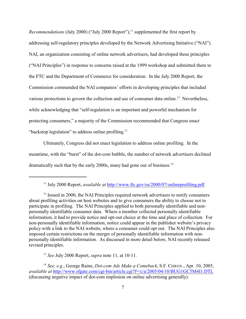*Recommendations (July 2000) ("July 2000 Report")*, <sup>11</sup> supplemented the first report by addressing self-regulatory principles developed by the Network Advertising Initiative ("NAI"). NAI, an organization consisting of online network advertisers, had developed these principles ("NAI Principles") in response to concerns raised at the 1999 workshop and submitted them to the FTC and the Department of Commerce for consideration. In the July 2000 Report, the Commission commended the NAI companies' efforts in developing principles that included various protections to govern the collection and use of consumer data online.<sup>12</sup> Nevertheless, while acknowledging that "self-regulation is an important and powerful mechanism for protecting consumers," a majority of the Commission recommended that Congress enact "backstop legislation" to address online profiling.<sup>13</sup>

Ultimately, Congress did not enact legislation to address online profiling. In the meantime, with the "burst" of the dot-com bubble, the number of network advertisers declined dramatically such that by the early 2000s, many had gone out of business.<sup>14</sup>

<sup>13</sup> See July 2000 Report, *supra* note 11, at 10-11.

<sup>14</sup> See, e.g., George Raine, *Dot-com Ads Make a Comeback*, S.F. CHRON., Apr. 10, 2005, *available at* <http://www.sfgate.com/cgi-bin/article.cgi?f=/c/a/2005/04/10/BUG1GC5M4I1.DTL> (discussing negative impact of dot-com implosion on online advertising generally).

<sup>&</sup>lt;sup>11</sup> July 2000 Report, *available at <http://www.ftc.gov/os/2000/07/onlineprofiling.pdf>.* 

 $12$  Issued in 2000, the NAI Principles required network advertisers to notify consumers about profiling activities on host websites and to give consumers the ability to choose not to participate in profiling. The NAI Principles applied to both personally identifiable and nonpersonally identifiable consumer data. Where a member collected personally identifiable information, it had to provide notice and opt-out choice at the time and place of collection. For non-personally identifiable information, notice could appear in the publisher website's privacy policy with a link to the NAI website, where a consumer could opt out. The NAI Principles also imposed certain restrictions on the merger of personally identifiable information with nonpersonally identifiable information. As discussed in more detail below, NAI recently released revised principles.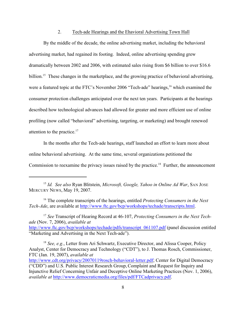# 2. Tech-ade Hearings and the Ehavioral Advertising Town Hall

By the middle of the decade, the online advertising market, including the behavioral advertising market, had regained its footing. Indeed, online advertising spending grew dramatically between 2002 and 2006, with estimated sales rising from \$6 billion to over \$16.6 billion.<sup>15</sup> These changes in the marketplace, and the growing practice of behavioral advertising, were a featured topic at the FTC's November 2006 "Tech-ade" hearings,  $16$  which examined the consumer protection challenges anticipated over the next ten years. Participants at the hearings described how technological advances had allowed for greater and more efficient use of online profiling (now called "behavioral" advertising, targeting, or marketing) and brought renewed attention to the practice. $17$ 

In the months after the Tech-ade hearings, staff launched an effort to learn more about online behavioral advertising. At the same time, several organizations petitioned the Commission to reexamine the privacy issues raised by the practice.<sup>18</sup> Further, the announcement

<sup>17</sup> See Transcript of Hearing Record at 46-107, *Protecting Consumers in the Next Techade* (Nov. 7, 2006), *available at* [http://www.ftc.gov/bcp/workshops/techade/pdfs/transcript\\_061107.pdf](http://%20http://www.ftc.gov/bcp/workshops/techade/pdfs/transcript_061107.pdf%20) (panel discussion entitled "Marketing and Advertising in the Next Tech-ade").

<sup>18</sup> See, e.g., Letter from Ari Schwartz, Executive Director, and Alissa Cooper, Policy Analyst, Center for Democracy and Technology ("CDT"), to J. Thomas Rosch, Commissioner, FTC (Jan. 19, 2007), *available at* [http://www.cdt.org/privacy/20070119rosch-behavioral-letter.pdf](http://www.cdt.org/privacy/20070119rosch-behavioral-letter.pdf;); Center for Digital Democracy ("CDD") and U.S. Public Interest Research Group,Complaint and Request for Inquiry and Injunctive Relief Concerning Unfair and Deceptive Online Marketing Practices (Nov. 1, 2006), *available at* <http://www.democraticmedia.org/files/pdf/FTCadprivacy.pdf>.

<sup>&</sup>lt;sup>15</sup> Id. See also Ryan Blitstein, *Microsoft, Google, Yahoo in Online Ad War*, SAN JOSE MERCURY NEWS, May 19, 2007.

<sup>&</sup>lt;sup>16</sup> The complete transcripts of the hearings, entitled *Protecting Consumers in the Next Tech-Ade*, are available at<http://www.ftc.gov/bcp/workshops/techade/transcripts.html>[.](http://www.ftc.gov/bcp/workshops/techade/who.html)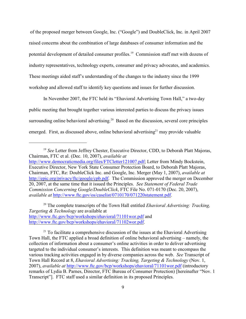of the proposed merger between Google, Inc. ("Google") and DoubleClick, Inc. in April 2007 raised concerns about the combination of large databases of consumer information and the potential development of detailed consumer profiles.<sup>19</sup> Commission staff met with dozens of industry representatives, technology experts, consumer and privacy advocates, and academics. These meetings aided staff's understanding of the changes to the industry since the 1999 workshop and allowed staff to identify key questions and issues for further discussion.

In November 2007, the FTC held its "Ehavioral Advertising Town Hall," a two-day public meeting that brought together various interested parties to discuss the privacy issues surrounding online behavioral advertising.<sup>20</sup> Based on the discussion, several core principles emerged. First, as discussed above, online behavioral advertising<sup>21</sup> may provide valuable

<sup>20</sup> The complete transcripts of the Town Hall entitled *Ehavioral Advertising: Tracking*, *Targeting & Technology* are available at <http://www.ftc.gov/bcp/workshops/ehavioral/71101wor.pdf> and <http://www.ftc.gov/bcp/workshops/ehavioral/71102wor.pdf>.

<sup>&</sup>lt;sup>19</sup> See Letter from Jeffrey Chester, Executive Director, CDD, to Deborah Platt Majoras, Chairman, FTC et al. (Dec. 10, 2007), *available at* <http://www.democraticmedia.org/files/FTCletter121007.pdf>; Letter from Mindy Bockstein, Executive Director, New York State Consumer Protection Board, to Deborah Platt Majoras, Chairman, FTC, Re: DoubleClick Inc. and Google, Inc. Merger (May 1, 2007), *available at* <http://epic.org/privacy/ftc/google/cpb.pdf>. The Commission approved the merger on December 20, 2007, at the same time that it issued the Principles. *See Statement of Federal Trade Commission Concerning Google/DoubleClick*, FTC File No. 071-0170 (Dec. 20, 2007), *available at* <http://www.ftc.gov/os/caselist/0710170/071220statement.pdf>.

 $21$  To facilitate a comprehensive discussion of the issues at the Ehavioral Advertising Town Hall, the FTC applied a broad definition of online behavioral advertising – namely, the collection of information about a consumer's online activities in order to deliver advertising targeted to the individual consumer's interests. This definition was meant to encompass the various tracking activities engaged in by diverse companies across the web. *See* Transcript of Town Hall Record at 8, *Ehavioral Advertising: Tracking, Targeting & Technology* (Nov. 1, 2007), *available at* <http://www.ftc.gov/bcp/workshops/ehavioral/71101wor.pdf> (introductory remarks of Lydia B. Parnes, Director, FTC Bureau of Consumer Protection) [hereinafter "Nov. 1 Transcript"]. FTC staff used a similar definition in its proposed Principles.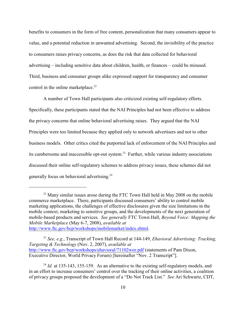benefits to consumers in the form of free content, personalization that many consumers appear to value, and a potential reduction in unwanted advertising. Second, the invisibility of the practice to consumers raises privacy concerns, as does the risk that data collected for behavioral advertising – including sensitive data about children, health, or finances – could be misused. Third, business and consumer groups alike expressed support for transparency and consumer control in the online marketplace. $22$ 

A number of Town Hall participants also criticized existing self-regulatory efforts. Specifically, these participants stated that the NAI Principles had not been effective to address the privacy concerns that online behavioral advertising raises. They argued that the NAI Principles were too limited because they applied only to network advertisers and not to other business models. Other critics cited the purported lack of enforcement of the NAI Principles and its cumbersome and inaccessible opt-out system.<sup>23</sup> Further, while various industry associations discussed their online self-regulatory schemes to address privacy issues, these schemes did not generally focus on behavioral advertising. 24

 $22$  Many similar issues arose during the FTC Town Hall held in May 2008 on the mobile commerce marketplace. There, participants discussed consumers' ability to control mobile marketing applications, the challenges of effective disclosures given the size limitations in the mobile context, marketing to sensitive groups, and the developments of the next generation of mobile-based products and services. *See generally* FTC Town Hall, *Beyond Voice: Mapping the Mobile Marketplace* (May 6-7, 2008), *available at* <http://www.ftc.gov/bcp/workshops/mobilemarket/index.shtml>.

*See, e.g.*, Transcript of Town Hall Record at 144-149, *Ehavioral Advertising: Tracking,* <sup>23</sup> *Targeting & Technology* (Nov. 2, 2007), *available at* <http://www.ftc.gov/bcp/workshops/ehavioral/71102wor.pdf> (statements of Pam Dixon, Executive Director, World Privacy Forum) [hereinafter "Nov. 2 Transcript"].

 $I<sup>24</sup>$  *Id.* at 135-143, 155-159. As an alternative to the existing self-regulatory models, and in an effort to increase consumers' control over the tracking of their online activities, a coalition of privacy groups proposed the development of a "Do Not Track List." *See* Ari Schwartz, CDT,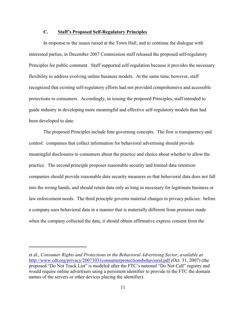# **C. Staff's Proposed Self-Regulatory Principles**

In response to the issues raised at the Town Hall, and to continue the dialogue with interested parties, in December 2007 Commission staff released the proposed self-regulatory Principles for public comment. Staff supported self-regulation because it provides the necessary flexibility to address evolving online business models. At the same time, however, staff recognized that existing self-regulatory efforts had not provided comprehensive and accessible protections to consumers. Accordingly, in issuing the proposed Principles, staff intended to guide industry in developing more meaningful and effective self-regulatory models than had been developed to date.

The proposed Principles include four governing concepts. The first is transparency and control: companies that collect information for behavioral advertising should provide meaningful disclosures to consumers about the practice and choice about whether to allow the practice. The second principle proposes reasonable security and limited data retention: companies should provide reasonable data security measures so that behavioral data does not fall into the wrong hands, and should retain data only as long as necessary for legitimate business or law enforcement needs. The third principle governs material changes to privacy policies: before a company uses behavioral data in a manner that is materially different from promises made when the company collected the data, it should obtain affirmative express consent from the

et al., *Consumer Rights and Protections in the Behavioral Advertising Sector*, *available at* [http://www.cdt.org/privacy/20071031consumerprotectionsbehavioral.pdf](http://www.cdt.org/privacy/20071031consumerprotectionsbehavioral.pdf%20) (Oct. 31, 2007) (the proposed "Do Not Track List" is modeled after the FTC's national "Do Not Call" registry and would require online advertisers using a persistent identifier to provide to the FTC the domain names of the servers or other devices placing the identifier).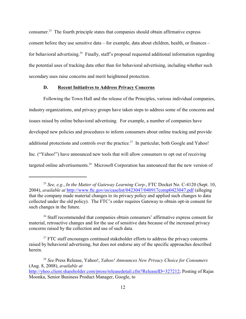consumer.<sup>25</sup> The fourth principle states that companies should obtain affirmative express consent before they use sensitive data – for example, data about children, health, or finances – for behavioral advertising.<sup>26</sup> Finally, staff's proposal requested additional information regarding the potential uses of tracking data other than for behavioral advertising, including whether such secondary uses raise concerns and merit heightened protection.

#### **D. Recent Initiatives to Address Privacy Concerns**

Following the Town Hall and the release of the Principles, various individual companies, industry organizations, and privacy groups have taken steps to address some of the concerns and issues raised by online behavioral advertising. For example, a number of companies have developed new policies and procedures to inform consumers about online tracking and provide additional protections and controls over the practice.<sup>27</sup> In particular, both Google and Yahoo! Inc. ("Yahoo!") have announced new tools that will allow consumers to opt out of receiving targeted online advertisements.<sup>28</sup> Microsoft Corporation has announced that the new version of

*See, e.g.*, *In the Matter of Gateway Learning Corp*., FTC Docket No. C-4120 (Sept. 10, <sup>25</sup> 2004), *available at* <http://www.ftc.gov/os/caselist/0423047/040917comp0423047.pdf> (alleging that the company made material changes to its privacy policy and applied such changes to data collected under the old policy). The FTC's order requires Gateway to obtain opt-in consent for such changes in the future.

 $26$  Staff recommended that companies obtain consumers' affirmative express consent for material, retroactive changes and for the use of sensitive data because of the increased privacy concerns raised by the collection and use of such data.

 $27$  FTC staff encourages continued stakeholder efforts to address the privacy concerns raised by behavioral advertising, but does not endorse any of the specific approaches described herein.

*See* Press Release, Yahoo!, *Yahoo! Announces New Privacy Choice for Consumers* <sup>28</sup> (Aug. 8, 2008), *available at*

[http://yhoo.client.shareholder.com/press/releasedetail.cfm?ReleaseID=327212](http://yhoo.client.shareholder.com/press/releasedetail.cfm?ReleaseID=327212%20); Posting of Rajas Moonka, Senior Business Product Manager, Google, to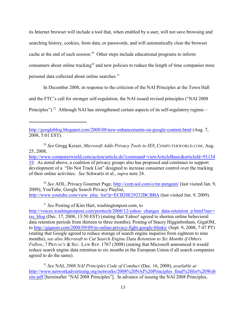its Internet browser will include a tool that, when enabled by a user, will not save browsing and searching history, cookies, form data, or passwords, and will automatically clear the browser cache at the end of each session.<sup>29</sup> Other steps include educational programs to inform consumers about online tracking<sup>30</sup> and new policies to reduce the length of time companies store personal data collected about online searches.<sup>31</sup>

In December 2008, in response to the criticism of the NAI Principles at the Town Hall

and the FTC's call for stronger self-regulation, the NAI issued revised principles ("NAI 2008

Principles").<sup>32</sup> Although NAI has strengthened certain aspects of its self-regulatory regime –

<sup>30</sup> See AOL, Privacy Gourmet Page, <http://corp.aol.com/o/mr-penguin/> (last visited Jan. 9, 2009); YouTube, Google Search Privacy Playlist, [http://www.youtube.com/view\\_play\\_list?p=ECB20E29232BCBBA](http://www.youtube.com/view_play_list?p=ECB20E29232BCBBA) (last visited Jan. 9, 2009).

<sup>31</sup> See Posting of Kim Hart, washingtonpost.com, to [http://voices.washingtonpost.com/posttech/2008/12/yahoo\\_changes\\_data-retention\\_p.html?nav=](http://voices.washingtonpost.com/posttech/2008/12/yahoo_changes_data-retention_p.html?nav=rss_blog) rss blog (Dec. 17, 2008, 13:50 EST) (stating that Yahoo! agreed to shorten online behavioral data retention periods from thirteen to three months); Posting of Stacey Higginbotham, GigaOM, to <http://gigaom.com/2008/09/09/in-online-privacy-fight-google-blinks/> (Sept. 9, 2008, 7:47 PT) (stating that Google agreed to reduce storage of search engine inquiries from eighteen to nine months); *see also Microsoft to Cut Search Engine Data Retention to Six Months if Others Follow*, 7 PRIVACY & SEC. LAW REP. 1767 (2008) (stating that Microsoft announced it would reduce search engine data retention to six months in the European Union if all search companies agreed to do the same).

*See* NAI, *2008 NAI Principles Code of Conduct* (Dec. 16, 2008), *available at* <sup>32</sup> [http://www.networkadvertising.org/networks/2008%20NAI%20Principles\\_final%20for%20Web](http://www.networkadvertising.org/networks/2008%20NAI%20Principles_final%20for%20Website.pdf) [site.pdf](http://www.networkadvertising.org/networks/2008%20NAI%20Principles_final%20for%20Website.pdf) [hereinafter "NAI 2008 Principles"]. In advance of issuing the NAI 2008 Principles,

[http://googleblog.blogspot.com/2008/08/new-enhancements-on-google-content.html](http://googleblog.blogspot.com/2008/08/new-enhancements-on-google-content.html%20) (Aug. 7, 2008, 5:01 EST).

<sup>&</sup>lt;sup>29</sup> See Gregg Keizer, *Microsoft Adds Privacy Tools to IE8*, COMPUTERWORLD.COM, Aug. 25, 2008,

[http://www.computerworld.com/action/article.do?command=viewArticleBasic&articleId=91134](http://www.computerworld.com/action/article.do?command=viewArticleBasic&articleId=9113419%20) [19](http://www.computerworld.com/action/article.do?command=viewArticleBasic&articleId=9113419%20). As noted above, a coalition of privacy groups also has proposed and continues to support development of a "Do Not Track List" designed to increase consumer control over the tracking of their online activities. *See* Schwartz et al., *supra* note 24.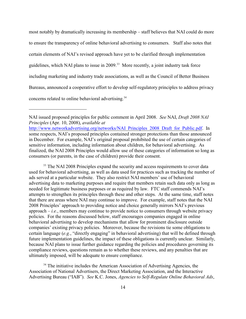most notably by dramatically increasing its membership – staff believes that NAI could do more to ensure the transparency of online behavioral advertising to consumers. Staff also notes that certain elements of NAI's revised approach have yet to be clarified through implementation guidelines, which NAI plans to issue in 2009.<sup>33</sup> More recently, a joint industry task force including marketing and industry trade associations, as well as the Council of Better Business Bureaus, announced a cooperative effort to develop self-regulatory principles to address privacy concerns related to online behavioral advertising.<sup>34</sup>

<sup>33</sup> The NAI 2008 Principles expand the security and access requirements to cover data used for behavioral advertising, as well as data used for practices such as tracking the number of ads served at a particular website. They also restrict NAI members' use of behavioral advertising data to marketing purposes and require that members retain such data only as long as needed for legitimate business purposes or as required by law. FTC staff commends NAI's attempts to strengthen its principles through these and other steps. At the same time, staff notes that there are areas where NAI may continue to improve. For example, staff notes that the NAI 2008 Principles' approach to providing notice and choice generally mirrors NAI's previous approach – *i.e.*, members may continue to provide notice to consumers through website privacy policies. For the reasons discussed below, staff encourages companies engaged in online behavioral advertising to develop mechanisms that allow for prominent disclosure outside companies' existing privacy policies. Moreover, because the revisions tie some obligations to certain language (*e.g.*, "directly engaging" in behavioral advertising) that will be defined through future implementation guidelines, the impact of these obligations is currently unclear. Similarly, because NAI plans to issue further guidance regarding the policies and procedures governing its compliance reviews, questions remain as to whether these reviews, and any penalties that are ultimately imposed, will be adequate to ensure compliance.

 $34$  The initiative includes the American Association of Advertising Agencies, the Association of National Advertisers, the Direct Marketing Association, and the Interactive Advertising Bureau ("IAB"). *See* K.C. Jones, *Agencies to Self-Regulate Online Behavioral Ads*,

NAI issued proposed principles for public comment in April 2008. *See* NAI, *Draft 2008 NAI Principles* (Apr. 10, 2008), *available at*

[http://www.networkadvertising.org/networks/NAI\\_Principles\\_2008\\_Draft\\_for\\_Public.pdf](http://www.networkadvertising.org/networks/NAI_Principles_2008_Draft_for_Public.pdf). In some respects, NAI's proposed principles contained stronger protections than those announced in December. For example, NAI's original proposal prohibited the use of certain categories of sensitive information, including information about children, for behavioral advertising. As finalized, the NAI 2008 Principles would allow use of these categories of information so long as consumers (or parents, in the case of children) provide their consent.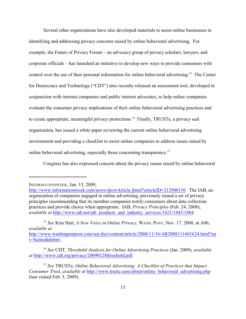Several other organizations have also developed materials to assist online businesses in identifying and addressing privacy concerns raised by online behavioral advertising. For example, the Future of Privacy Forum – an advocacy group of privacy scholars, lawyers, and corporate officials – has launched an initiative to develop new ways to provide consumers with control over the use of their personal information for online behavioral advertising.<sup>35</sup> The Center for Democracy and Technology ("CDT") also recently released an assessment tool, developed in conjunction with internet companies and public interest advocates, to help online companies evaluate the consumer privacy implications of their online behavioral advertising practices and to create appropriate, meaningful privacy protections.<sup>36</sup> Finally, TRUSTe, a privacy seal organization, has issued a white paper reviewing the current online behavioral advertising environment and providing a checklist to assist online companies to address issues raised by online behavioral advertising, especially those concerning transparency.<sup>37</sup>

Congress has also expressed concern about the privacy issues raised by online behavioral

*See* Kim Hart, *A New Voice in Online Privacy*, WASH. POST, Nov. 17, 2008, at A06, <sup>35</sup> *available at*

[http://www.washingtonpost.com/wp-dyn/content/article/2008/11/16/AR2008111601624.html?na](http://www.washingtonpost.com/wp-dyn/content/article/2008/11/16/AR2008111601624.html?nav=hcmoduletmv) [v=hcmoduletmv](http://www.washingtonpost.com/wp-dyn/content/article/2008/11/16/AR2008111601624.html?nav=hcmoduletmv).

*See* CDT, *Threshold Analysis for Online Advertising Practices* (Jan. 2009), *available* <sup>36</sup> *at* <http://www.cdt.org/privacy/20090128threshold.pdf>.

INFORMATIONWEEK, Jan. 13, 2009,

<http://www.informationweek.com/news/showArticle.jhtml?articleID=212900156>. The IAB, an organization of companies engaged in online advertising, previously issued a set of privacy principles recommending that its member companies notify consumers about data collection practices and provide choice when appropriate. IAB, *Privacy Principles* (Feb. 24, 2008), *available at [http://www.iab.net/iab\\_products\\_and\\_industry\\_services/1421/1443/1464](http://www.iab.net/iab_products_and_industry_services/1421/1443/1464).* 

*See* TRUSTe, *Online Behavioral Advertising: A Checklist of Practices that Impact* 37 *Consumer Trust*, *available at* [http://www.truste.com/about/online\\_behavioral\\_advertising.php](http://www.truste.com/about/online_behavioral_advertising.php) (last visited Feb. 3, 2009).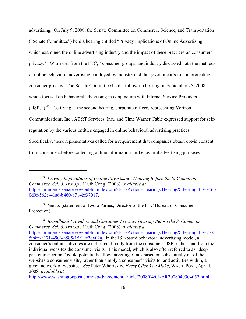advertising. On July 9, 2008, the Senate Committee on Commerce, Science, and Transportation ("Senate Committee") held a hearing entitled "Privacy Implications of Online Advertising," which examined the online advertising industry and the impact of these practices on consumers' privacy.<sup>38</sup> Witnesses from the FTC,<sup>39</sup> consumer groups, and industry discussed both the methods of online behavioral advertising employed by industry and the government's role in protecting consumer privacy. The Senate Committee held a follow-up hearing on September 25, 2008, which focused on behavioral advertising in conjunction with Internet Service Providers ("ISPs"). $40$  Testifying at the second hearing, corporate officers representing Verizon Communications, Inc., AT&T Services, Inc., and Time Warner Cable expressed support for selfregulation by the various entities engaged in online behavioral advertising practices. Specifically, these representatives called for a requirement that companies obtain opt-in consent from consumers before collecting online information for behavioral advertising purposes.

<sup>38</sup> Privacy Implications of Online Advertising: Hearing Before the S. Comm. on *Commerce, Sci. & Transp.*, 110th Cong. (2008), *available at* [http://commerce.senate.gov/public/index.cfm?FuseAction=Hearings.Hearing&Hearing\\_ID=e46b](http://commerce.senate.gov/public/index.cfm?FuseAction=Hearings.Hearing&Hearing_ID=e46b0d9f-562e-41a6-b460-a714bf370171) [0d9f-562e-41a6-b460-a714bf37017](http://commerce.senate.gov/public/index.cfm?FuseAction=Hearings.Hearing&Hearing_ID=e46b0d9f-562e-41a6-b460-a714bf370171).

<sup>39</sup> See *id.* (statement of Lydia Parnes, Director of the FTC Bureau of Consumer Protection).

<sup>40</sup> Broadband Providers and Consumer Privacy: Hearing Before the S. Comm. on *Commerce, Sci. & Transp.*, 110th Cong. (2008), *available at* [http://commerce.senate.gov/public/index.cfm?FuseAction=Hearings.Hearing&Hearing\\_ID=778](http://commerce.senate.gov/public/index.cfm?FuseAction=Hearings.Hearing&Hearing_ID=778594fe-a171-4906-a585-15f19e2d602a) [594fe-a171-4906-a585-15f19e2d602a](http://commerce.senate.gov/public/index.cfm?FuseAction=Hearings.Hearing&Hearing_ID=778594fe-a171-4906-a585-15f19e2d602a). In the ISP-based behavioral advertising model, a consumer's online activities are collected directly from the consumer's ISP, rather than from the individual websites the consumer visits. This model, which is also often referred to as "deep packet inspection," could potentially allow targeting of ads based on substantially all of the websites a consumer visits, rather than simply a consumer's visits to, and activities within, a given network of websites. *See* Peter Whoriskey, *Every Click You Make*, WASH. POST, Apr. 4, 2008, *available at*

<http://www.washingtonpost.com/wp-dyn/content/article/2008/04/03/AR2008040304052.html>.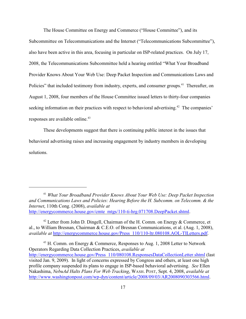The House Committee on Energy and Commerce ("House Committee"), and its Subcommittee on Telecommunications and the Internet ("Telecommunications Subcommittee"), also have been active in this area, focusing in particular on ISP-related practices. On July 17, 2008, the Telecommunications Subcommittee held a hearing entitled "What Your Broadband Provider Knows About Your Web Use: Deep Packet Inspection and Communications Laws and Policies" that included testimony from industry, experts, and consumer groups.<sup>41</sup> Thereafter, on August 1, 2008, four members of the House Committee issued letters to thirty-four companies seeking information on their practices with respect to behavioral advertising.<sup>42</sup> The companies' responses are available online.<sup>43</sup>

These developments suggest that there is continuing public interest in the issues that behavioral advertising raises and increasing engagement by industry members in developing solutions.

 $43$  H. Comm. on Energy & Commerce, Responses to Aug. 1, 2008 Letter to Network Operators Regarding Data Collection Practices, *available at* [http://energycommerce.house.gov/Press\\_110/080108.ResponsesDataCollectionLetter.shtml](http://energycommerce.house.gov/Press_110/080108.ResponsesDataCollectionLetter.shtml) (last visited Jan. 9, 2009). In light of concerns expressed by Congress and others, at least one high profile company suspended its plans to engage in ISP-based behavioral advertising. *See* Ellen Nakashima, *NebuAd Halts Plans For Web Tracking*, WASH. POST, Sept. 4, 2008, *available at* <http://www.washingtonpost.com/wp-dyn/content/article/2008/09/03/AR2008090303566.html>.

<sup>&</sup>lt;sup>41</sup> What Your Broadband Provider Knows About Your Web Use: Deep Packet Inspection *and Communications Laws and Policies: Hearing Before the H. Subcomm. on Telecomm. & the Internet*, 110th Cong. (2008), *available at* [http://energycommerce.house.gov/cmte\\_mtgs/110-ti-hrg.071708.DeepPacket.shtml](http://energycommerce.house.gov/cmte_mtgs/110-ti-hrg.071708.DeepPacket.shtml).

<sup>&</sup>lt;sup>42</sup> Letter from John D. Dingell, Chairman of the H. Comm. on Energy  $\&$  Commerce, et al., to William Bresnan, Chairman & C.E.O. of Bresnan Communications, et al. (Aug. 1, 2008), *available at* [http://energycommerce.house.gov/Press\\_110/110-ltr.080108.AOL-TILetters.pdf](http://energycommerce.house.gov/Press_110/110-ltr.080108.AOL-TILetters.pdf).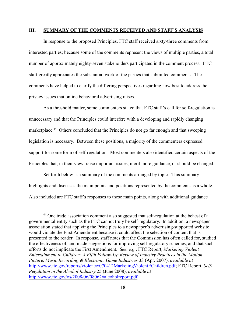#### **III. SUMMARY OF THE COMMENTS RECEIVED AND STAFF'S ANALYSIS**

In response to the proposed Principles, FTC staff received sixty-three comments from interested parties; because some of the comments represent the views of multiple parties, a total number of approximately eighty-seven stakeholders participated in the comment process. FTC staff greatly appreciates the substantial work of the parties that submitted comments. The comments have helped to clarify the differing perspectives regarding how best to address the privacy issues that online behavioral advertising raises.

As a threshold matter, some commenters stated that FTC staff's call for self-regulation is unnecessary and that the Principles could interfere with a developing and rapidly changing marketplace.<sup>44</sup> Others concluded that the Principles do not go far enough and that sweeping legislation is necessary. Between these positions, a majority of the commenters expressed support for some form of self-regulation. Most commenters also identified certain aspects of the Principles that, in their view, raise important issues, merit more guidance, or should be changed.

Set forth below is a summary of the comments arranged by topic. This summary highlights and discusses the main points and positions represented by the comments as a whole. Also included are FTC staff's responses to these main points, along with additional guidance

<sup>&</sup>lt;sup>44</sup> One trade association comment also suggested that self-regulation at the behest of a governmental entity such as the FTC cannot truly be self-regulatory. In addition, a newspaper association stated that applying the Principles to a newspaper's advertising-supported website would violate the First Amendment because it could affect the selection of content that is presented to the reader. In response, staff notes that the Commission has often called for, studied the effectiveness of, and made suggestions for improving self-regulatory schemes, and that such efforts do not implicate the First Amendment. *See, e.g.*, FTC Report, *Marketing Violent Entertainment to Children: A Fifth Follow-Up Review of Industry Practices in the Motion Picture, Music Recording & Electronic Game Industries* 33 (Apr. 2007), *available at* <http://www.ftc.gov/reports/violence/070412MarketingViolentEChildren.pdf>; FTC Report, *Self-Regulation in the Alcohol Industry* 25 (June 2008), *available at* <http://www.ftc.gov/os/2008/06/080626alcoholreport.pdf>.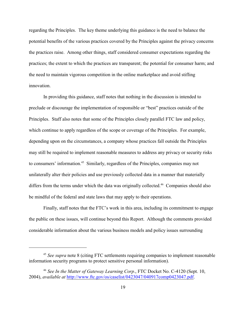regarding the Principles. The key theme underlying this guidance is the need to balance the potential benefits of the various practices covered by the Principles against the privacy concerns the practices raise. Among other things, staff considered consumer expectations regarding the practices; the extent to which the practices are transparent; the potential for consumer harm; and the need to maintain vigorous competition in the online marketplace and avoid stifling innovation.

In providing this guidance, staff notes that nothing in the discussion is intended to preclude or discourage the implementation of responsible or "best" practices outside of the Principles. Staff also notes that some of the Principles closely parallel FTC law and policy, which continue to apply regardless of the scope or coverage of the Principles. For example, depending upon on the circumstances, a company whose practices fall outside the Principles may still be required to implement reasonable measures to address any privacy or security risks to consumers' information.<sup>45</sup> Similarly, regardless of the Principles, companies may not unilaterally alter their policies and use previously collected data in a manner that materially differs from the terms under which the data was originally collected.<sup>46</sup> Companies should also be mindful of the federal and state laws that may apply to their operations.

Finally, staff notes that the FTC's work in this area, including its commitment to engage the public on these issues, will continue beyond this Report. Although the comments provided considerable information about the various business models and policy issues surrounding

<sup>&</sup>lt;sup>45</sup> See supra note 8 (citing FTC settlements requiring companies to implement reasonable information security programs to protect sensitive personal information).

<sup>&</sup>lt;sup>46</sup> See In the Matter of Gateway Learning Corp., FTC Docket No. C-4120 (Sept. 10, 2004), *available at* <http://www.ftc.gov/os/caselist/0423047/040917comp0423047.pdf>.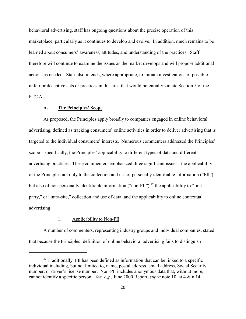behavioral advertising, staff has ongoing questions about the precise operation of this marketplace, particularly as it continues to develop and evolve. In addition, much remains to be learned about consumers' awareness, attitudes, and understanding of the practices. Staff therefore will continue to examine the issues as the market develops and will propose additional actions as needed. Staff also intends, where appropriate, to initiate investigations of possible unfair or deceptive acts or practices in this area that would potentially violate Section 5 of the FTC Act.

#### **A. The Principles' Scope**

As proposed, the Principles apply broadly to companies engaged in online behavioral advertising, defined as tracking consumers' online activities in order to deliver advertising that is targeted to the individual consumers' interests. Numerous commenters addressed the Principles' scope – specifically, the Principles' applicability to different types of data and different advertising practices. These commenters emphasized three significant issues: the applicability of the Principles not only to the collection and use of personally identifiable information ("PII"), but also of non-personally identifiable information ("non-PII");<sup>47</sup> the applicability to "first party," or "intra-site," collection and use of data; and the applicability to online contextual advertising.

# 1. Applicability to Non-PII

A number of commenters, representing industry groups and individual companies, stated that because the Principles' definition of online behavioral advertising fails to distinguish

 $47$  Traditionally, PII has been defined as information that can be linked to a specific individual including, but not limited to, name, postal address, email address, Social Security number, or driver's license number. Non-PII includes anonymous data that, without more, cannot identify a specific person. *See, e.g.*, June 2000 Report, *supra* note 10, at 4 & n.14.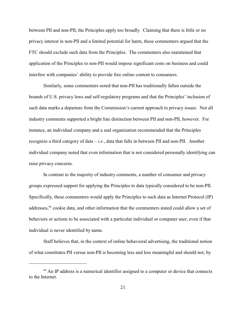between PII and non-PII, the Principles apply too broadly. Claiming that there is little or no privacy interest in non-PII and a limited potential for harm, these commenters argued that the FTC should exclude such data from the Principles. The commenters also maintained that application of the Principles to non-PII would impose significant costs on business and could interfere with companies' ability to provide free online content to consumers.

Similarly, some commenters noted that non-PII has traditionally fallen outside the bounds of U.S. privacy laws and self-regulatory programs and that the Principles' inclusion of such data marks a departure from the Commission's current approach to privacy issues. Not all industry comments supported a bright line distinction between PII and non-PII, however. For instance, an individual company and a seal organization recommended that the Principles recognize a third category of data – *i.e.*, data that falls in between PII and non-PII. Another individual company noted that even information that is not considered personally identifying can raise privacy concerns.

In contrast to the majority of industry comments, a number of consumer and privacy groups expressed support for applying the Principles to data typically considered to be non-PII. Specifically, these commenters would apply the Principles to such data as Internet Protocol (IP) addresses,<sup>48</sup> cookie data, and other information that the commenters stated could allow a set of behaviors or actions to be associated with a particular individual or computer user, even if that individual is never identified by name.

Staff believes that, in the context of online behavioral advertising, the traditional notion of what constitutes PII versus non-PII is becoming less and less meaningful and should not, by

<sup>&</sup>lt;sup>48</sup> An IP address is a numerical identifier assigned to a computer or device that connects to the Internet.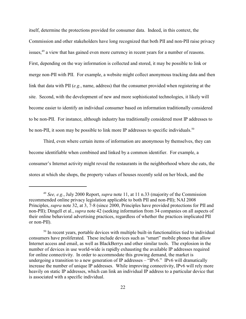itself, determine the protections provided for consumer data. Indeed, in this context, the Commission and other stakeholders have long recognized that both PII and non-PII raise privacy issues,<sup>49</sup> a view that has gained even more currency in recent years for a number of reasons. First, depending on the way information is collected and stored, it may be possible to link or merge non-PII with PII. For example, a website might collect anonymous tracking data and then link that data with PII (*e.g.*, name, address) that the consumer provided when registering at the site. Second, with the development of new and more sophisticated technologies, it likely will become easier to identify an individual consumer based on information traditionally considered to be non-PII. For instance, although industry has traditionally considered most IP addresses to be non-PII, it soon may be possible to link more IP addresses to specific individuals.<sup>50</sup>

Third, even where certain items of information are anonymous by themselves, they can become identifiable when combined and linked by a common identifier. For example, a consumer's Internet activity might reveal the restaurants in the neighborhood where she eats, the stores at which she shops, the property values of houses recently sold on her block, and the

<sup>&</sup>lt;sup>49</sup> See, e.g., July 2000 Report, *supra* note 11, at 11 n.33 (majority of the Commission recommended online privacy legislation applicable to both PII and non-PII); NAI 2008 Principles, *supra* note 32, at 3, 7-8 (since 2000, Principles have provided protections for PII and non-PII); Dingell et al., *supra* note 42 (seeking information from 34 companies on all aspects of their online behavioral advertising practices, regardless of whether the practices implicated PII or non-PII).

 $<sup>50</sup>$  In recent years, portable devices with multiple built-in functionalities tied to individual</sup> consumers have proliferated. These include devices such as "smart" mobile phones that allow Internet access and email, as well as BlackBerrys and other similar tools. The explosion in the number of devices in use world-wide is rapidly exhausting the available IP addresses required for online connectivity. In order to accommodate this growing demand, the market is undergoing a transition to a new generation of IP addresses – "IPv6." IPv6 will dramatically increase the number of unique IP addresses. While improving connectivity, IPv6 will rely more heavily on static IP addresses, which can link an individual IP address to a particular device that is associated with a specific individual.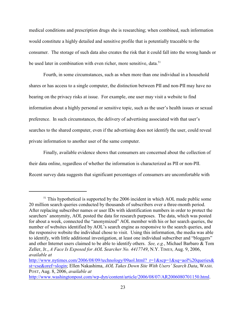medical conditions and prescription drugs she is researching; when combined, such information would constitute a highly detailed and sensitive profile that is potentially traceable to the consumer. The storage of such data also creates the risk that it could fall into the wrong hands or be used later in combination with even richer, more sensitive, data.<sup>51</sup>

Fourth, in some circumstances, such as when more than one individual in a household shares or has access to a single computer, the distinction between PII and non-PII may have no bearing on the privacy risks at issue. For example, one user may visit a website to find information about a highly personal or sensitive topic, such as the user's health issues or sexual preference. In such circumstances, the delivery of advertising associated with that user's searches to the shared computer, even if the advertising does not identify the user, could reveal private information to another user of the same computer.

Finally, available evidence shows that consumers are concerned about the collection of their data online, regardless of whether the information is characterized as PII or non-PII. Recent survey data suggests that significant percentages of consumers are uncomfortable with

 $51$  This hypothetical is supported by the 2006 incident in which AOL made public some 20 million search queries conducted by thousands of subscribers over a three-month period. After replacing subscriber names or user IDs with identification numbers in order to protect the searchers' anonymity, AOL posted the data for research purposes. The data, which was posted for about a week, connected the "anonymized" AOL member with his or her search queries, the number of websites identified by AOL's search engine as responsive to the search queries, and the responsive website the individual chose to visit. Using this information, the media was able to identify, with little additional investigation, at least one individual subscriber and "bloggers" and other Internet users claimed to be able to identify others. *See, e.g.*, Michael Barbaro & Tom Zeller, Jr., *A Face Is Exposed for AOL Searcher No. 4417749*, N.Y. TIMES*,* Aug. 9, 2006, *available at*

http://www.nytimes.com/2006/08/09/technology/09aol.html?  $r=1$ &scp=1&sq=aol%20queries& [st=cse&oref=slogin](http://www.nytimes.com/2006/08/09/technology/09aol.html?_r=1&scp=1&sq=aol%20queries&st=cse&oref=slogin); Ellen Nakashima, *AOL Takes Down Site With Users' Search Data*, WASH. POST, Aug. 8, 2006, *available at*

<http://www.washingtonpost.com/wp-dyn/content/article/2006/08/07/AR2006080701150.html>.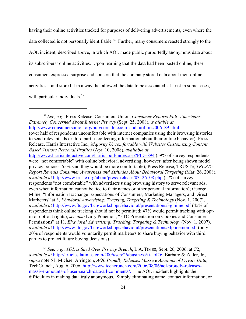having their online activities tracked for purposes of delivering advertisements, even where the data collected is not personally identifiable.<sup>52</sup> Further, many consumers reacted strongly to the AOL incident, described above, in which AOL made public purportedly anonymous data about its subscribers' online activities. Upon learning that the data had been posted online, these consumers expressed surprise and concern that the company stored data about their online activities – and stored it in a way that allowed the data to be associated, at least in some cases, with particular individuals.<sup>53</sup>

*See, e.g.*, Press Release, Consumers Union, *Consumer Reports Poll: Americans* <sup>52</sup> *Extremely Concerned About Internet Privacy* (Sept. 25, 2008), *available at* http://www.consumersunion.org/pub/core\_telecom\_and\_utilities/006189.html (over half of respondents uncomfortable with internet companies using their browsing histories to send relevant ads or third parties collecting information about their online behavior); Press Release, Harris Interactive Inc., *Majority Uncomfortable with Websites Customizing Content Based Visitors Personal Profiles* (Apr. 10, 2008), *available at* [http://www.harrisinteractive.com/harris\\_poll/index.asp?PID=894](http://www.harrisinteractive.com/harris_poll/index.asp?PID=894) (59% of survey respondents were "not comfortable" with online behavioral advertising; however, after being shown model privacy policies, 55% said they would be more comfortable); Press Release, TRUSTe, *TRUSTe Report Reveals Consumer Awareness and Attitudes About Behavioral Targeting (Mar. 26, 2008), available at* [http://www.truste.org/about/press\\_release/03\\_26\\_08.php](http://www.truste.org/about/press_release/03_26_08.php) (57% of survey respondents "not comfortable" with advertisers using browsing history to serve relevant ads, even when information cannot be tied to their names or other personal information); George Milne, "Information Exchange Expectations of Consumers, Marketing Managers, and Direct Marketers" at 3, *Ehavioral Advertising: Tracking, Targeting & Technology* (Nov. 1, 2007), *available at* [http://www.ftc.gov/bcp/workshops/ehavioral/presentations/3gmilne.pdf](http://www.ftc.gov/bcp/workshops/ehavioral/presentations/3gmilne.pdf%20) (45% of respondents think online tracking should not be permitted; 47% would permit tracking with optin or opt-out rights); *see also* Larry Ponemon, "FTC Presentation on Cookies and Consumer Permissions" at 11, *Ehavioral Advertising: Tracking, Targeting & Technology* (Nov. 1, 2007), *available at* [http://www.ftc.gov/bcp/workshops/ehavioral/presentations/3lponemon.pdf](http://www.ftc.gov/bcp/workshops/ehavioral/presentations/3lponemon.pdf%20) (only 20% of respondents would voluntarily permit marketers to share buying behavior with third parties to project future buying decisions).

 *See, e.g.*, *AOL is Sued Over Privacy Breach*, L.A. TIMES, Sept. 26, 2006, at C2, <sup>53</sup> *available at* <http://articles.latimes.com/2006/sep/26/business/fi-aol26>; Barbaro & Zeller, Jr., *supra* note 51; Michael Arrington, *AOL Proudly Releases Massive Amounts of Private Data*, TechCrunch, Aug. 6, 2006, http://www.techcrunch.com/2006/08/06/aol-proudly-releasesmassive-amounts-of-user-search-data/all-comments/. The AOL incident highlights the difficulties in making data truly anonymous. Simply eliminating name, contact information, or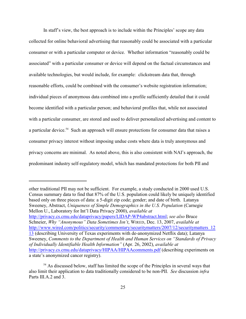In staff's view, the best approach is to include within the Principles' scope any data collected for online behavioral advertising that reasonably could be associated with a particular consumer or with a particular computer or device. Whether information "reasonably could be associated" with a particular consumer or device will depend on the factual circumstances and available technologies, but would include, for example: clickstream data that, through reasonable efforts, could be combined with the consumer's website registration information; individual pieces of anonymous data combined into a profile sufficiently detailed that it could become identified with a particular person; and behavioral profiles that, while not associated with a particular consumer, are stored and used to deliver personalized advertising and content to a particular device.<sup>54</sup> Such an approach will ensure protections for consumer data that raises a consumer privacy interest without imposing undue costs where data is truly anonymous and privacy concerns are minimal.As noted above, this is also consistent with NAI's approach, the predominant industry self-regulatory model, which has mandated protections for both PII and

other traditional PII may not be sufficient. For example, a study conducted in 2000 used U.S. Census summary data to find that 87% of the U.S. population could likely be uniquely identified based only on three pieces of data: a 5-digit zip code; gender; and date of birth. Latanya Sweeney, Abstract, *Uniqueness of Simple Demographics in the U.S. Population* (Carnegie Mellon U., Laboratory for Int'l Data Privacy 2000), *available at* <http://privacy.cs.cmu.edu/dataprivacy/papers/LIDAP-WP4abstract.html>; *see also* Bruce Schneier, *Why "Anonymous" Data Sometimes Isn't*, WIRED, Dec. 13, 2007, *available at* [http://www.wired.com/politics/security/commentary/securitymatters/2007/12/securitymatters\\_12](http://www.wired.com/politics/security/commentary/securitymatters/2007/12/securitymatters_1213%20) [13](http://www.wired.com/politics/security/commentary/securitymatters/2007/12/securitymatters_1213%20) (describing University of Texas experiments with de-anonymized Netflix data); Latanya Sweeney, *Comments to the Department of Health and Human Services on "Standards of Privacy of Individually Identifiable Health Information"* (Apr. 26, 2002), *available at* <http://privacy.cs.cmu.edu/dataprivacy/HIPAA/HIPAAcomments.pdf> (describing experiments on a state's anonymized cancer registry).

 $<sup>54</sup>$  As discussed below, staff has limited the scope of the Principles in several ways that</sup> also limit their application to data traditionally considered to be non-PII. *See* discussion *infra* Parts III.A.2 and 3.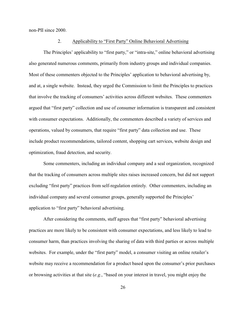non-PII since 2000.

#### 2. Applicability to "First Party" Online Behavioral Advertising

The Principles' applicability to "first party," or "intra-site," online behavioral advertising also generated numerous comments, primarily from industry groups and individual companies. Most of these commenters objected to the Principles' application to behavioral advertising by, and at, a single website. Instead, they urged the Commission to limit the Principles to practices that involve the tracking of consumers' activities across different websites. These commenters argued that "first party" collection and use of consumer information is transparent and consistent with consumer expectations. Additionally, the commenters described a variety of services and operations, valued by consumers, that require "first party" data collection and use. These include product recommendations, tailored content, shopping cart services, website design and optimization, fraud detection, and security.

Some commenters, including an individual company and a seal organization, recognized that the tracking of consumers across multiple sites raises increased concern, but did not support excluding "first party" practices from self-regulation entirely. Other commenters, including an individual company and several consumer groups, generally supported the Principles' application to "first party" behavioral advertising.

After considering the comments, staff agrees that "first party" behavioral advertising practices are more likely to be consistent with consumer expectations, and less likely to lead to consumer harm, than practices involving the sharing of data with third parties or across multiple websites. For example, under the "first party" model, a consumer visiting an online retailer's website may receive a recommendation for a product based upon the consumer's prior purchases or browsing activities at that site (*e.g.*, "based on your interest in travel, you might enjoy the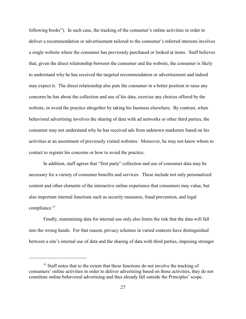following books"). In such case, the tracking of the consumer's online activities in order to deliver a recommendation or advertisement tailored to the consumer's inferred interests involves a single website where the consumer has previously purchased or looked at items. Staff believes that, given the direct relationship between the consumer and the website, the consumer is likely to understand why he has received the targeted recommendation or advertisement and indeed may expect it. The direct relationship also puts the consumer in a better position to raise any concerns he has about the collection and use of his data, exercise any choices offered by the website, or avoid the practice altogether by taking his business elsewhere. By contrast, when behavioral advertising involves the sharing of data with ad networks or other third parties, the consumer may not understand why he has received ads from unknown marketers based on his activities at an assortment of previously visited websites. Moreover, he may not know whom to contact to register his concerns or how to avoid the practice.

In addition, staff agrees that "first party" collection and use of consumer data may be necessary for a variety of consumer benefits and services. These include not only personalized content and other elements of the interactive online experience that consumers may value, but also important internal functions such as security measures, fraud prevention, and legal compliance. 55

Finally, maintaining data for internal use only also limits the risk that the data will fall into the wrong hands. For that reason, privacy schemes in varied contexts have distinguished between a site's internal use of data and the sharing of data with third parties, imposing stronger

<sup>&</sup>lt;sup>55</sup> Staff notes that to the extent that these functions do not involve the tracking of consumers' online activities in order to deliver advertising based on those activities, they do not constitute online behavioral advertising and thus already fall outside the Principles' scope.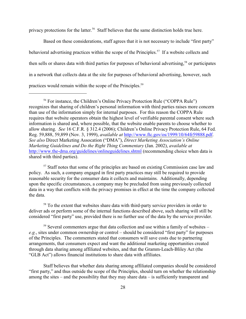privacy protections for the latter.<sup>56</sup> Staff believes that the same distinction holds true here.

Based on these considerations, staff agrees that it is not necessary to include "first party" behavioral advertising practices within the scope of the Principles.<sup>57</sup> If a website collects and then sells or shares data with third parties for purposes of behavioral advertising,<sup>58</sup> or participates in a network that collects data at the site for purposes of behavioral advertising, however, such practices would remain within the scope of the Principles.<sup>59</sup>

<sup>57</sup> Staff notes that some of the principles are based on existing Commission case law and policy. As such, a company engaged in first party practices may still be required to provide reasonable security for the consumer data it collects and maintains. Additionally, depending upon the specific circumstances, a company may be precluded from using previously collected data in a way that conflicts with the privacy promises in effect at the time the company collected the data.

 $58$  To the extent that websites share data with third-party service providers in order to deliver ads or perform some of the internal functions described above, such sharing will still be considered "first party" use, provided there is no further use of the data by the service provider.

 $59$  Several commenters argue that data collection and use within a family of websites – *e.g.*, sites under common ownership or control – should be considered "first party" for purposes of the Principles. The commenters stated that consumers will save costs due to partnering arrangements, that consumers expect and want the additional marketing opportunities created through data sharing among affiliated websites, and that the Gramm-Leach-Bliley Act (the "GLB Act") allows financial institutions to share data with affiliates.

Staff believes that whether data sharing among affiliated companies should be considered "first party," and thus outside the scope of the Principles, should turn on whether the relationship among the sites – and the possibility that they may share data – is sufficiently transparent and

<sup>&</sup>lt;sup>56</sup> For instance, the Children's Online Privacy Protection Rule ("COPPA Rule") recognizes that sharing of children's personal information with third parties raises more concern than use of the information simply for internal purposes. For this reason the COPPA Rule requires that website operators obtain the highest level of verifiable parental consent where such information is shared and, where possible, that the website enable parents to choose whether to allow sharing. *See* 16 C.F.R. § 312.4 (2006); Children's Online Privacy Protection Rule, 64 Fed. Reg. 59,888, 59,899 (Nov. 3, 1999), *available at* <http://www.ftc.gov/os/1999/10/64fr59888.pdf>. *See also* Direct Marketing Assocation ("DMA"), *Direct Marketing Association's Online Marketing Guidelines and Do the Right Thing Commentary* (Jan. 2002), *available at* <http://www.the-dma.org/guidelines/onlineguidelines.shtml> (recommending choice when data is shared with third parties).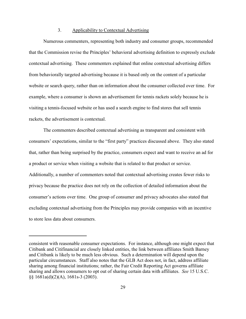#### 3. Applicability to Contextual Advertising

Numerous commenters, representing both industry and consumer groups, recommended that the Commission revise the Principles' behavioral advertising definition to expressly exclude contextual advertising. These commenters explained that online contextual advertising differs from behaviorally targeted advertising because it is based only on the content of a particular website or search query, rather than on information about the consumer collected over time. For example, where a consumer is shown an advertisement for tennis rackets solely because he is visiting a tennis-focused website or has used a search engine to find stores that sell tennis rackets, the advertisement is contextual.

The commenters described contextual advertising as transparent and consistent with consumers' expectations, similar to the "first party" practices discussed above. They also stated that, rather than being surprised by the practice, consumers expect and want to receive an ad for a product or service when visiting a website that is related to that product or service. Additionally, a number of commenters noted that contextual advertising creates fewer risks to privacy because the practice does not rely on the collection of detailed information about the consumer's actions over time. One group of consumer and privacy advocates also stated that excluding contextual advertising from the Principles may provide companies with an incentive to store less data about consumers.

consistent with reasonable consumer expectations. For instance, although one might expect that Citibank and Citifinancial are closely linked entities, the link between affiliates Smith Barney and Citibank is likely to be much less obvious. Such a determination will depend upon the particular circumstances.Staff also notes that the GLB Act does not, in fact, address affiliate sharing among financial institutions; rather, the Fair Credit Reporting Act governs affiliate sharing and allows consumers to opt out of sharing certain data with affiliates. *See* 15 U.S.C. §§ 1681a(d)(2)(A), 1681s-3 (2003).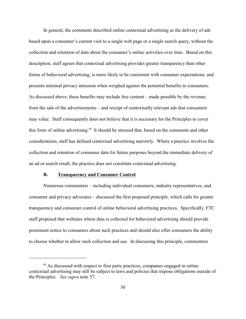In general, the comments described online contextual advertising as the delivery of ads based upon a consumer's current visit to a single web page or a single search query, without the collection and retention of data about the consumer's online activities over time. Based on this description, staff agrees that contextual advertising provides greater transparency than other forms of behavioral advertising, is more likely to be consistent with consumer expectations, and presents minimal privacy intrusion when weighed against the potential benefits to consumers. As discussed above, these benefits may include free content – made possible by the revenue from the sale of the advertisements – and receipt of contextually relevant ads that consumers may value. Staff consequently does not believe that it is necessary for the Principles to cover this form of online advertising. $60$  It should be stressed that, based on the comments and other considerations, staff has defined contextual advertising narrowly. Where a practice involves the collection and retention of consumer data for future purposes beyond the immediate delivery of an ad or search result, the practice does not constitute contextual advertising.

# **B. Transparency and Consumer Control**

Numerous commenters – including individual consumers, industry representatives, and consumer and privacy advocates – discussed the first proposed principle, which calls for greater transparency and consumer control of online behavioral advertising practices. Specifically, FTC staff proposed that websites where data is collected for behavioral advertising should provide prominent notice to consumers about such practices and should also offer consumers the ability to choose whether to allow such collection and use. In discussing this principle, commenters

 $60$  As discussed with respect to first party practices, companies engaged in online contextual advertising may still be subject to laws and policies that impose obligations outside of the Principles. *See supra* note 57.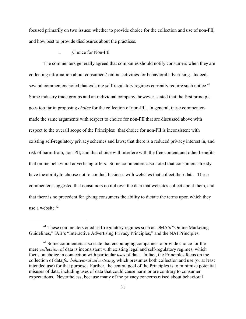focused primarily on two issues: whether to provide choice for the collection and use of non-PII, and how best to provide disclosures about the practices.

#### 1. Choice for Non-PII

The commenters generally agreed that companies should notify consumers when they are collecting information about consumers' online activities for behavioral advertising. Indeed, several commenters noted that existing self-regulatory regimes currently require such notice.<sup>61</sup> Some industry trade groups and an individual company, however, stated that the first principle goes too far in proposing *choice* for the collection of non-PII. In general, these commenters made the same arguments with respect to choice for non-PII that are discussed above with respect to the overall scope of the Principles: that choice for non-PII is inconsistent with existing self-regulatory privacy schemes and laws; that there is a reduced privacy interest in, and risk of harm from, non-PII; and that choice will interfere with the free content and other benefits that online behavioral advertising offers. Some commenters also noted that consumers already have the ability to choose not to conduct business with websites that collect their data. These commenters suggested that consumers do not own the data that websites collect about them, and that there is no precedent for giving consumers the ability to dictate the terms upon which they use a website. $62$ 

 $<sup>61</sup>$  These commenters cited self-regulatory regimes such as DMA's "Online Marketing"</sup> Guidelines," IAB's "Interactive Advertising Privacy Principles," and the NAI Principles.

 $62$  Some commenters also state that encouraging companies to provide choice for the mere *collection* of data is inconsistent with existing legal and self-regulatory regimes, which focus on choice in connection with particular *uses* of data. In fact, the Principles focus on the collection of data *for behavioral advertising*, which presumes both collection and use (or at least intended use) for that purpose. Further, the central goal of the Principles is to minimize potential misuses of data, including uses of data that could cause harm or are contrary to consumer expectations. Nevertheless, because many of the privacy concerns raised about behavioral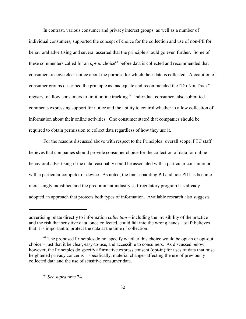In contrast, various consumer and privacy interest groups, as well as a number of individual consumers, supported the concept of choice for the collection and use of non-PII for behavioral advertising and several asserted that the principle should go even further. Some of these commenters called for an *opt-in* choice<sup>63</sup> before data is collected and recommended that consumers receive clear notice about the purpose for which their data is collected. A coalition of consumer groups described the principle as inadequate and recommended the "Do Not Track" registry to allow consumers to limit online tracking.<sup>64</sup> Individual consumers also submitted comments expressing support for notice and the ability to control whether to allow collection of information about their online activities. One consumer stated that companies should be required to obtain permission to collect data regardless of how they use it.

For the reasons discussed above with respect to the Principles' overall scope, FTC staff believes that companies should provide consumer choice for the collection of data for online behavioral advertising if the data reasonably could be associated with a particular consumer or with a particular computer or device. As noted, the line separating PII and non-PII has become increasingly indistinct, and the predominant industry self-regulatory program has already adopted an approach that protects both types of information. Available research also suggests

advertising relate directly to information *collection* – including the invisibility of the practice and the risk that sensitive data, once collected, could fall into the wrong hands – staff believes that it is important to protect the data at the time of collection.

 $63$  The proposed Principles do not specify whether this choice would be opt-in or opt-out choice – just that it be clear, easy-to-use, and accessible to consumers. As discussed below, however, the Principles do specify affirmative express consent (opt-in) for uses of data that raise heightened privacy concerns – specifically, material changes affecting the use of previously collected data and the use of sensitive consumer data.

<sup>&</sup>lt;sup>64</sup> See supra note 24.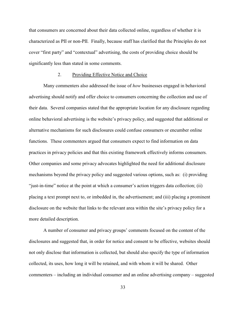that consumers are concerned about their data collected online, regardless of whether it is characterized as PII or non-PII. Finally, because staff has clarified that the Principles do not cover "first party" and "contextual" advertising, the costs of providing choice should be significantly less than stated in some comments.

#### 2. Providing Effective Notice and Choice

Many commenters also addressed the issue of *how* businesses engaged in behavioral advertising should notify and offer choice to consumers concerning the collection and use of their data. Several companies stated that the appropriate location for any disclosure regarding online behavioral advertising is the website's privacy policy, and suggested that additional or alternative mechanisms for such disclosures could confuse consumers or encumber online functions. These commenters argued that consumers expect to find information on data practices in privacy policies and that this existing framework effectively informs consumers. Other companies and some privacy advocates highlighted the need for additional disclosure mechanisms beyond the privacy policy and suggested various options, such as: (i) providing "just-in-time" notice at the point at which a consumer's action triggers data collection; (ii) placing a text prompt next to, or imbedded in, the advertisement; and (iii) placing a prominent disclosure on the website that links to the relevant area within the site's privacy policy for a more detailed description.

A number of consumer and privacy groups' comments focused on the content of the disclosures and suggested that, in order for notice and consent to be effective, websites should not only disclose that information is collected, but should also specify the type of information collected, its uses, how long it will be retained, and with whom it will be shared. Other commenters – including an individual consumer and an online advertising company – suggested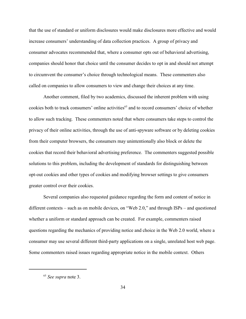that the use of standard or uniform disclosures would make disclosures more effective and would increase consumers' understanding of data collection practices. A group of privacy and consumer advocates recommended that, where a consumer opts out of behavioral advertising, companies should honor that choice until the consumer decides to opt in and should not attempt to circumvent the consumer's choice through technological means. These commenters also called on companies to allow consumers to view and change their choices at any time.

Another comment, filed by two academics, discussed the inherent problem with using cookies both to track consumers' online activities<sup>65</sup> and to record consumers' choice of whether to allow such tracking. These commenters noted that where consumers take steps to control the privacy of their online activities, through the use of anti-spyware software or by deleting cookies from their computer browsers, the consumers may unintentionally also block or delete the cookies that record their behavioral advertising preference. The commenters suggested possible solutions to this problem, including the development of standards for distinguishing between opt-out cookies and other types of cookies and modifying browser settings to give consumers greater control over their cookies.

Several companies also requested guidance regarding the form and content of notice in different contexts – such as on mobile devices, on "Web 2.0," and through ISPs – and questioned whether a uniform or standard approach can be created. For example, commenters raised questions regarding the mechanics of providing notice and choice in the Web 2.0 world, where a consumer may use several different third-party applications on a single, unrelated host web page. Some commenters raised issues regarding appropriate notice in the mobile context. Others

<sup>&</sup>lt;sup>65</sup> See supra note 3.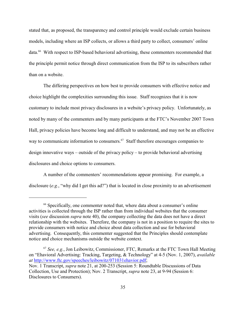stated that, as proposed, the transparency and control principle would exclude certain business models, including where an ISP collects, or allows a third party to collect, consumers' online data.<sup>66</sup> With respect to ISP-based behavioral advertising, these commenters recommended that the principle permit notice through direct communication from the ISP to its subscribers rather than on a website.

The differing perspectives on how best to provide consumers with effective notice and choice highlight the complexities surrounding this issue. Staff recognizes that it is now customary to include most privacy disclosures in a website's privacy policy. Unfortunately, as noted by many of the commenters and by many participants at the FTC's November 2007 Town Hall, privacy policies have become long and difficult to understand, and may not be an effective way to communicate information to consumers.<sup> $67$ </sup> Staff therefore encourages companies to design innovative ways – outside of the privacy policy – to provide behavioral advertising disclosures and choice options to consumers.

A number of the commenters' recommendations appear promising. For example, a disclosure (*e.g.*, "why did I get this ad?") that is located in close proximity to an advertisement

 $66$  Specifically, one commenter noted that, where data about a consumer's online activities is collected through the ISP rather than from individual websites that the consumer visits (*see* discussion *supra* note 40), the company collecting the data does not have a direct relationship with the websites. Therefore, the company is not in a position to require the sites to provide consumers with notice and choice about data collection and use for behavioral advertising. Consequently, this commenter suggested that the Principles should contemplate notice and choice mechanisms outside the website context.

<sup>&</sup>lt;sup>67</sup> See, e.g., Jon Leibowitz, Commissioner, FTC, Remarks at the FTC Town Hall Meeting on "Ehavioral Advertising: Tracking, Targeting, & Technology" at 4-5 (Nov. 1, 2007), *available at* <http://www.ftc.gov/speeches/leibowitz/071031ehavior.pdf>; Nov. 1 Transcript, *supra* note 21, at 200-253 (Session 5: Roundtable Discussions of Data Collection, Use and Protection); Nov. 2 Transcript, *supra* note 23, at 9-94 (Session 6: Disclosures to Consumers).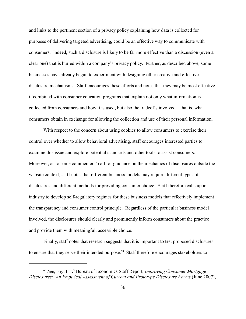and links to the pertinent section of a privacy policy explaining how data is collected for purposes of delivering targeted advertising, could be an effective way to communicate with consumers. Indeed, such a disclosure is likely to be far more effective than a discussion (even a clear one) that is buried within a company's privacy policy. Further, as described above, some businesses have already begun to experiment with designing other creative and effective disclosure mechanisms. Staff encourages these efforts and notes that they may be most effective if combined with consumer education programs that explain not only what information is collected from consumers and how it is used, but also the tradeoffs involved – that is, what consumers obtain in exchange for allowing the collection and use of their personal information.

With respect to the concern about using cookies to allow consumers to exercise their control over whether to allow behavioral advertising, staff encourages interested parties to examine this issue and explore potential standards and other tools to assist consumers. Moreover, as to some commenters' call for guidance on the mechanics of disclosures outside the website context, staff notes that different business models may require different types of disclosures and different methods for providing consumer choice. Staff therefore calls upon industry to develop self-regulatory regimes for these business models that effectively implement the transparency and consumer control principle.Regardless of the particular business model involved, the disclosures should clearly and prominently inform consumers about the practice and provide them with meaningful, accessible choice.

Finally, staff notes that research suggests that it is important to test proposed disclosures to ensure that they serve their intended purpose.<sup>68</sup> Staff therefore encourages stakeholders to

<sup>&</sup>lt;sup>68</sup> See, e.g., FTC Bureau of Economics Staff Report, *Improving Consumer Mortgage Disclosures: An Empirical Assessment of Current and Prototype Disclosure Forms* (June 2007),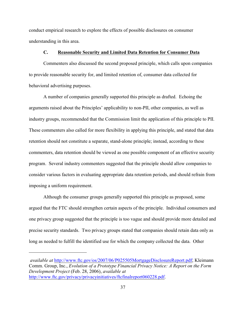conduct empirical research to explore the effects of possible disclosures on consumer understanding in this area.

#### **C. Reasonable Security and Limited Data Retention for Consumer Data**

Commenters also discussed the second proposed principle, which calls upon companies to provide reasonable security for, and limited retention of, consumer data collected for behavioral advertising purposes.

A number of companies generally supported this principle as drafted. Echoing the arguments raised about the Principles' applicability to non-PII, other companies, as well as industry groups, recommended that the Commission limit the application of this principle to PII. These commenters also called for more flexibility in applying this principle, and stated that data retention should not constitute a separate, stand-alone principle; instead, according to these commenters, data retention should be viewed as one possible component of an effective security program. Several industry commenters suggested that the principle should allow companies to consider various factors in evaluating appropriate data retention periods, and should refrain from imposing a uniform requirement.

Although the consumer groups generally supported this principle as proposed, some argued that the FTC should strengthen certain aspects of the principle. Individual consumers and one privacy group suggested that the principle is too vague and should provide more detailed and precise security standards. Two privacy groups stated that companies should retain data only as long as needed to fulfill the identified use for which the company collected the data. Other

*available at* <http://www.ftc.gov/os/2007/06/P025505MortgageDisclosureReport.pdf>; Kleimann Comm. Group, Inc., *Evolution of a Prototype Financial Privacy Notice: A Report on the Form Development Project* (Feb. 28, 2006), *available at* <http://www.ftc.gov/privacy/privacyinitiatives/ftcfinalreport060228.pdf>.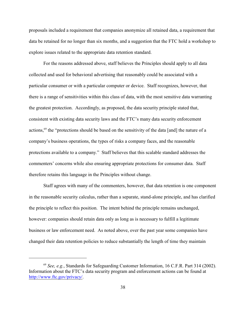proposals included a requirement that companies anonymize all retained data, a requirement that data be retained for no longer than six months, and a suggestion that the FTC hold a workshop to explore issues related to the appropriate data retention standard.

For the reasons addressed above, staff believes the Principles should apply to all data collected and used for behavioral advertising that reasonably could be associated with a particular consumer or with a particular computer or device. Staff recognizes, however, that there is a range of sensitivities within this class of data, with the most sensitive data warranting the greatest protection. Accordingly, as proposed, the data security principle stated that, consistent with existing data security laws and the FTC's many data security enforcement actions,  $69$  the "protections should be based on the sensitivity of the data [and] the nature of a company's business operations, the types of risks a company faces, and the reasonable protections available to a company." Staff believes that this scalable standard addresses the commenters' concerns while also ensuring appropriate protections for consumer data. Staff therefore retains this language in the Principles without change.

Staff agrees with many of the commenters, however, that data retention is one component in the reasonable security calculus, rather than a separate, stand-alone principle, and has clarified the principle to reflect this position. The intent behind the principle remains unchanged, however: companies should retain data only as long as is necessary to fulfill a legitimate business or law enforcement need. As noted above, over the past year some companies have changed their data retention policies to reduce substantially the length of time they maintain

<sup>&</sup>lt;sup>69</sup> See, e.g., Standards for Safeguarding Customer Information, 16 C.F.R. Part 314 (2002). Information about the FTC's data security program and enforcement actions can be found at [http://www.ftc.gov/privacy/](http://www.ftc.gov/privacy/.).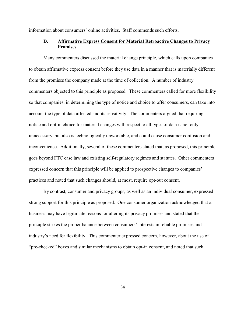information about consumers' online activities. Staff commends such efforts.

# **D. Affirmative Express Consent for Material Retroactive Changes to Privacy Promises**

Many commenters discussed the material change principle, which calls upon companies to obtain affirmative express consent before they use data in a manner that is materially different from the promises the company made at the time of collection. A number of industry commenters objected to this principle as proposed. These commenters called for more flexibility so that companies, in determining the type of notice and choice to offer consumers, can take into account the type of data affected and its sensitivity. The commenters argued that requiring notice and opt-in choice for material changes with respect to all types of data is not only unnecessary, but also is technologically unworkable, and could cause consumer confusion and inconvenience. Additionally, several of these commenters stated that, as proposed, this principle goes beyond FTC case law and existing self-regulatory regimes and statutes. Other commenters expressed concern that this principle will be applied to prospective changes to companies' practices and noted that such changes should, at most, require opt-out consent.

By contrast, consumer and privacy groups, as well as an individual consumer, expressed strong support for this principle as proposed. One consumer organization acknowledged that a business may have legitimate reasons for altering its privacy promises and stated that the principle strikes the proper balance between consumers' interests in reliable promises and industry's need for flexibility. This commenter expressed concern, however, about the use of "pre-checked" boxes and similar mechanisms to obtain opt-in consent, and noted that such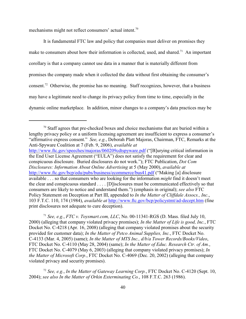mechanisms might not reflect consumers' actual intent.<sup>70</sup>

It is fundamental FTC law and policy that companies must deliver on promises they make to consumers about how their information is collected, used, and shared.<sup>71</sup> An important corollary is that a company cannot use data in a manner that is materially different from promises the company made when it collected the data without first obtaining the consumer's consent.<sup> $72$ </sup> Otherwise, the promise has no meaning. Staff recognizes, however, that a business may have a legitimate need to change its privacy policy from time to time, especially in the dynamic online marketplace. In addition, minor changes to a company's data practices may be

 $\frac{70}{10}$  Staff agrees that pre-checked boxes and choice mechanisms that are buried within a lengthy privacy policy or a uniform licensing agreement are insufficient to express a consumer's "affirmative express consent." *See, e.g.*, Deborah Platt Majoras, Chairman, FTC, Remarks at the Anti-Spyware Coalition at 7 (Feb. 9, 2006), *available at* <http://www.ftc.gov/speeches/majoras/060209cdtspyware.pdf> ("[B]urying critical information in the End User License Agreement ("EULA") does not satisfy the requirement for clear and conspicuous disclosure. Buried disclosures do not work."); FTC Publication, *Dot Com Disclosures: Information About Online Advertising* at 5 (May 2000), *available at* <http://www.ftc.gov/bcp/edu/pubs/business/ecommerce/bus41.pdf> ("Making [a] disclosure available . . . so that consumers who are looking for the information *might* find it doesn't meet the clear and conspicuous standard . . . . [D]isclosures must be communicated effectively so that consumers are likely to notice and understand them.") (emphasis in original); *see also* FTC Policy Statement on Deception at Part III, appended to *In the Matter of Cliffdale Assocs., Inc*., 103 F.T.C. 110, 174 (1984), *available at* <http://www.ftc.gov/bcp/policystmt/ad-decept.htm> (fine print disclosures not adequate to cure deception).

<sup>71</sup> See, e.g., *FTC v. Toysmart.com, LLC*, No. 00-11341-RGS (D. Mass. filed July 10, 2000) (alleging that company violated privacy promises); *In the Matter of Life is good, Inc.*, FTC Docket No. C-4218 (Apr. 16, 2008) (alleging that company violated promises about the security provided for customer data); *In the Matter of Petco Animal Supplies, Inc.*, FTC Docket No. C-4133 (Mar. 4, 2005) (same); *In the Matter of MTS Inc., d/b/a Tower Records/Books/Video*, FTC Docket No. C-4110 (May 28, 2004) (same); *In the Matter of Educ. Research Ctr. of Am.*, FTC Docket No. C-4079 (May 6, 2003) (alleging that company violated privacy promises); *In the Matter of Microsoft Corp.*, FTC Docket No. C-4069 (Dec. 20, 2002) (alleging that company violated privacy and security promises).

<sup>72</sup> See, e.g., In the Matter of Gateway Learning Corp., FTC Docket No. C-4120 (Sept. 10, 2004); *see also In the Matter of Orkin Exterminating Co.*, 108 F.T.C. 263 (1986).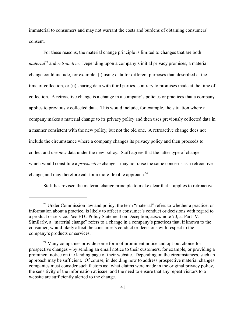immaterial to consumers and may not warrant the costs and burdens of obtaining consumers' consent.

For these reasons, the material change principle is limited to changes that are both *material*<sup>73</sup> and *retroactive*. Depending upon a company's initial privacy promises, a material change could include, for example: (i) using data for different purposes than described at the time of collection, or (ii) sharing data with third parties, contrary to promises made at the time of collection. A retroactive change is a change in a company's policies or practices that a company applies to previously collected data. This would include, for example, the situation where a company makes a material change to its privacy policy and then uses previously collected data in a manner consistent with the new policy, but not the old one. A retroactive change does not include the circumstance where a company changes its privacy policy and then proceeds to collect and use *new* data under the new policy. Staff agrees that the latter type of change – which would constitute a *prospective* change – may not raise the same concerns as a retroactive change, and may therefore call for a more flexible approach.<sup>74</sup>

Staff has revised the material change principle to make clear that it applies to retroactive

 $<sup>73</sup>$  Under Commission law and policy, the term "material" refers to whether a practice, or</sup> information about a practice, is likely to affect a consumer's conduct or decisions with regard to a product or service. *See* FTC Policy Statement on Deception, *supra* note 70, at Part IV. Similarly, a "material change" refers to a change in a company's practices that, if known to the consumer, would likely affect the consumer's conduct or decisions with respect to the company's products or services.

 $74$  Many companies provide some form of prominent notice and opt-out choice for prospective changes – by sending an email notice to their customers, for example, or providing a prominent notice on the landing page of their website. Depending on the circumstances, such an approach may be sufficient. Of course, in deciding how to address prospective material changes, companies must consider such factors as: what claims were made in the original privacy policy, the sensitivity of the information at issue, and the need to ensure that any repeat visitors to a website are sufficiently alerted to the change.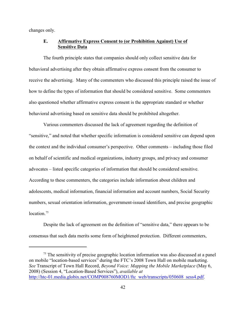changes only.

# **E. Affirmative Express Consent to (or Prohibition Against) Use of Sensitive Data**

The fourth principle states that companies should only collect sensitive data for behavioral advertising after they obtain affirmative express consent from the consumer to receive the advertising. Many of the commenters who discussed this principle raised the issue of how to define the types of information that should be considered sensitive. Some commenters also questioned whether affirmative express consent is the appropriate standard or whether behavioral advertising based on sensitive data should be prohibited altogether.

Various commenters discussed the lack of agreement regarding the definition of "sensitive," and noted that whether specific information is considered sensitive can depend upon the context and the individual consumer's perspective. Other comments – including those filed on behalf of scientific and medical organizations, industry groups, and privacy and consumer advocates – listed specific categories of information that should be considered sensitive. According to these commenters, the categories include information about children and adolescents, medical information, financial information and account numbers, Social Security numbers, sexual orientation information, government-issued identifiers, and precise geographic location.<sup>75</sup>

Despite the lack of agreement on the definition of "sensitive data," there appears to be consensus that such data merits some form of heightened protection. Different commenters,

 $<sup>75</sup>$  The sensitivity of precise geographic location information was also discussed at a panel</sup> on mobile "location-based services" during the FTC's 2008 Town Hall on mobile marketing. *See* Transcript of Town Hall Record, *Beyond Voice: Mapping the Mobile Marketplace* (May 6, 2008) (Session 4, "Location-Based Services"), *available at* [http://htc-01.media.globix.net/COMP008760MOD1/ftc\\_web/transcripts/050608\\_sess4.pdf](http://htc-01.media.globix.net/COMP008760MOD1/ftc_web/transcripts/050608_sess4.pdf).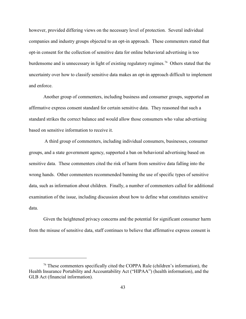however, provided differing views on the necessary level of protection. Several individual companies and industry groups objected to an opt-in approach. These commenters stated that opt-in consent for the collection of sensitive data for online behavioral advertising is too burdensome and is unnecessary in light of existing regulatory regimes.<sup>76</sup> Others stated that the uncertainty over how to classify sensitive data makes an opt-in approach difficult to implement and enforce.

Another group of commenters, including business and consumer groups, supported an affirmative express consent standard for certain sensitive data. They reasoned that such a standard strikes the correct balance and would allow those consumers who value advertising based on sensitive information to receive it.

 A third group of commenters, including individual consumers, businesses, consumer groups, and a state government agency, supported a ban on behavioral advertising based on sensitive data. These commenters cited the risk of harm from sensitive data falling into the wrong hands. Other commenters recommended banning the use of specific types of sensitive data, such as information about children. Finally, a number of commenters called for additional examination of the issue, including discussion about how to define what constitutes sensitive data.

Given the heightened privacy concerns and the potential for significant consumer harm from the misuse of sensitive data, staff continues to believe that affirmative express consent is

 $76$  These commenters specifically cited the COPPA Rule (children's information), the Health Insurance Portability and Accountability Act ("HIPAA") (health information), and the GLB Act (financial information).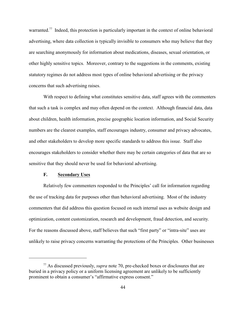warranted.<sup>77</sup> Indeed, this protection is particularly important in the context of online behavioral advertising, where data collection is typically invisible to consumers who may believe that they are searching anonymously for information about medications, diseases, sexual orientation, or other highly sensitive topics. Moreover, contrary to the suggestions in the comments, existing statutory regimes do not address most types of online behavioral advertising or the privacy concerns that such advertising raises.

With respect to defining what constitutes sensitive data, staff agrees with the commenters that such a task is complex and may often depend on the context. Although financial data, data about children, health information, precise geographic location information, and Social Security numbers are the clearest examples, staff encourages industry, consumer and privacy advocates, and other stakeholders to develop more specific standards to address this issue. Staff also encourages stakeholders to consider whether there may be certain categories of data that are so sensitive that they should never be used for behavioral advertising.

# **F. Secondary Uses**

Relatively few commenters responded to the Principles' call for information regarding the use of tracking data for purposes other than behavioral advertising. Most of the industry commenters that did address this question focused on such internal uses as website design and optimization, content customization, research and development, fraud detection, and security. For the reasons discussed above, staff believes that such "first party" or "intra-site" uses are unlikely to raise privacy concerns warranting the protections of the Principles. Other businesses

<sup>&</sup>lt;sup>77</sup> As discussed previously, *supra* note 70, pre-checked boxes or disclosures that are buried in a privacy policy or a uniform licensing agreement are unlikely to be sufficiently prominent to obtain a consumer's "affirmative express consent."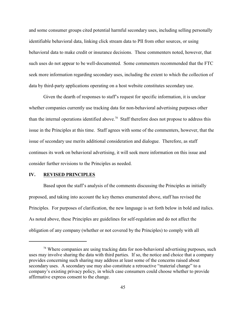and some consumer groups cited potential harmful secondary uses, including selling personally identifiable behavioral data, linking click stream data to PII from other sources, or using behavioral data to make credit or insurance decisions. These commenters noted, however, that such uses do not appear to be well-documented. Some commenters recommended that the FTC seek more information regarding secondary uses, including the extent to which the collection of data by third-party applications operating on a host website constitutes secondary use.

Given the dearth of responses to staff's request for specific information, it is unclear whether companies currently use tracking data for non-behavioral advertising purposes other than the internal operations identified above.<sup>78</sup> Staff therefore does not propose to address this issue in the Principles at this time. Staff agrees with some of the commenters, however, that the issue of secondary use merits additional consideration and dialogue. Therefore, as staff continues its work on behavioral advertising, it will seek more information on this issue and consider further revisions to the Principles as needed.

#### **IV. REVISED PRINCIPLES**

Based upon the staff's analysis of the comments discussing the Principles as initially proposed, and taking into account the key themes enumerated above, staff has revised the Principles. For purposes of clarification, the new language is set forth below in bold and italics. As noted above, these Principles are guidelines for self-regulation and do not affect the obligation of any company (whether or not covered by the Principles) to comply with all

<sup>&</sup>lt;sup>78</sup> Where companies are using tracking data for non-behavioral advertising purposes, such uses may involve sharing the data with third parties. If so, the notice and choice that a company provides concerning such sharing may address at least some of the concerns raised about secondary uses. A secondary use may also constitute a retroactive "material change" to a company's existing privacy policy, in which case consumers could choose whether to provide affirmative express consent to the change.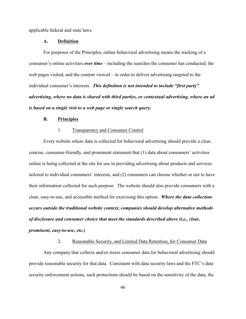applicable federal and state laws.

#### **A. Definition**

For purposes of the Principles, online behavioral advertising means the tracking of a consumer's online activities *over time* – including the searches the consumer has conducted, the web pages visited, and the content viewed – in order to deliver advertising targeted to the individual consumer's interests. *This definition is not intended to include "first party" advertising, where no data is shared with third parties, or contextual advertising, where an ad is based on a single visit to a web page or single search query.*

#### **B. Principles**

#### 1. Transparency and Consumer Control

Every website where data is collected for behavioral advertising should provide a clear, concise, consumer-friendly, and prominent statement that (1) data about consumers' activities online is being collected at the site for use in providing advertising about products and services tailored to individual consumers' interests, and (2) consumers can choose whether or not to have their information collected for such purpose. The website should also provide consumers with a clear, easy-to-use, and accessible method for exercising this option. *Where the data collection occurs outside the traditional website context, companies should develop alternative methods of disclosure and consumer choice that meet the standards described above (i.e., clear, prominent, easy-to-use, etc.)*

#### 2. Reasonable Security, and Limited Data Retention, for Consumer Data

Any company that collects and/or stores consumer data for behavioral advertising should provide reasonable security for that data. Consistent with data security laws and the FTC's data security enforcement actions, such protections should be based on the sensitivity of the data, the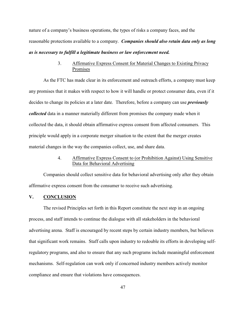nature of a company's business operations, the types of risks a company faces, and the reasonable protections available to a company. *Companies should also retain data only as long as is necessary to fulfill a legitimate business or law enforcement need.*

# 3. Affirmative Express Consent for Material Changes to Existing Privacy Promises

As the FTC has made clear in its enforcement and outreach efforts, a company must keep any promises that it makes with respect to how it will handle or protect consumer data, even if it decides to change its policies at a later date. Therefore, before a company can use *previously collected* data in a manner materially different from promises the company made when it collected the data, it should obtain affirmative express consent from affected consumers. This principle would apply in a corporate merger situation to the extent that the merger creates material changes in the way the companies collect, use, and share data.

# 4. Affirmative Express Consent to (or Prohibition Against) Using Sensitive Data for Behavioral Advertising

Companies should collect sensitive data for behavioral advertising only after they obtain affirmative express consent from the consumer to receive such advertising.

# **V. CONCLUSION**

The revised Principles set forth in this Report constitute the next step in an ongoing process, and staff intends to continue the dialogue with all stakeholders in the behavioral advertising arena. Staff is encouraged by recent steps by certain industry members, but believes that significant work remains. Staff calls upon industry to redouble its efforts in developing selfregulatory programs, and also to ensure that any such programs include meaningful enforcement mechanisms. Self-regulation can work only if concerned industry members actively monitor compliance and ensure that violations have consequences.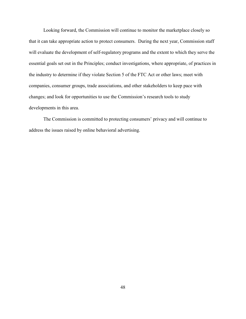Looking forward, the Commission will continue to monitor the marketplace closely so that it can take appropriate action to protect consumers. During the next year, Commission staff will evaluate the development of self-regulatory programs and the extent to which they serve the essential goals set out in the Principles; conduct investigations, where appropriate, of practices in the industry to determine if they violate Section 5 of the FTC Act or other laws; meet with companies, consumer groups, trade associations, and other stakeholders to keep pace with changes; and look for opportunities to use the Commission's research tools to study developments in this area.

The Commission is committed to protecting consumers' privacy and will continue to address the issues raised by online behavioral advertising.